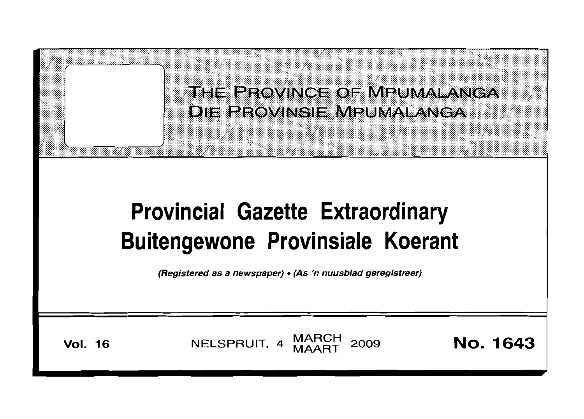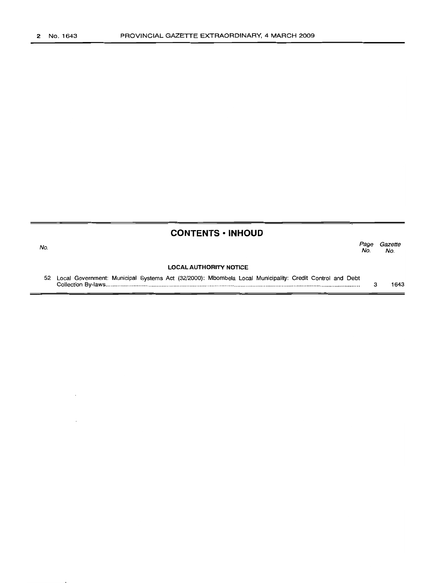|                               | <b>CONTENTS • INHOUD</b>                                                                                   |             |                |
|-------------------------------|------------------------------------------------------------------------------------------------------------|-------------|----------------|
| No.                           |                                                                                                            | Page<br>No. | Gazette<br>No. |
| <b>LOCAL AUTHORITY NOTICE</b> |                                                                                                            |             |                |
|                               | 52 Local Government: Municipal Systems Act (32/2000): Mbombela Local Municipality: Credit Control and Debt | з           | 1643           |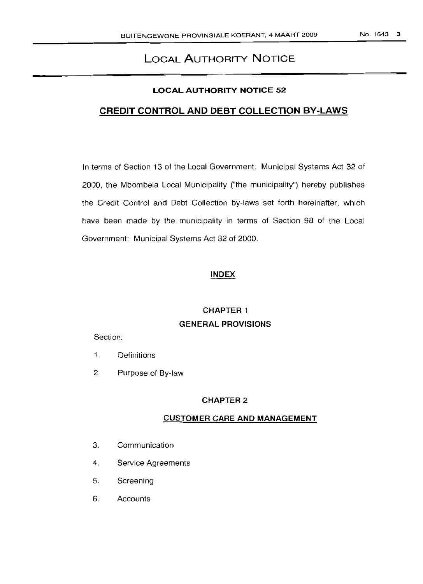# LOCAL AUTHORITY NOTICE

#### LOCAL AUTHORITY NOTICE 52

## CREDIT CONTROL AND DEBT COLLECTION BY-LAWS

In terms of Section 13 of the Local Government: Municipal Systems Act 32 of 2000, the Mbombela Local Municipality ("the municipality") hereby publishes the Credit Control and Debt Collection by-laws set forth hereinafter, which have been made by the municipality in terms of Section 98 of the Local Government: Municipal Systems Act 32 of 2000.

#### INDEX

# CHAPTER 1 GENERAL PROVISIONS

#### Section:

- 1. Definitions
- 2. Purpose of By-law

#### CHAPTER 2

#### CUSTOMER CARE AND MANAGEMENT

- 3. Communication
- 4. Service Agreements
- 5. Screening
- 6. Accounts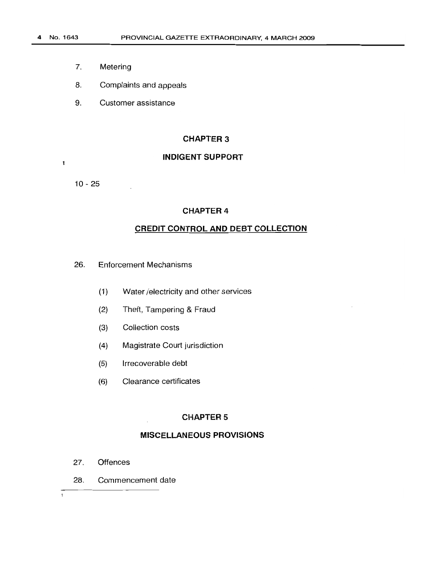- 7. Metering
- 8. Complaints and appeals
- 9. Customer assistance

#### **CHAPTER** 3

## **INDIGENT SUPPORT**

10 - 25

 $\mathbf{1}$ 

#### **CHAPTER 4**

#### **CREDIT CONTROL AND DEBT COLLECTION**

- 26. Enforcement Mechanisms
	- (1) Water /electricity and other services
	- (2) Theft, Tampering & Fraud
	- (3) Collection costs
	- (4) Magistrate Court jurisdiction
	- (5) Irrecoverable debt
	- (6) Clearance certificates

#### **CHAPTER** 5

### **MISCELLANEOUS PROVISIONS**

- 27. Offences
- 28. Commencement date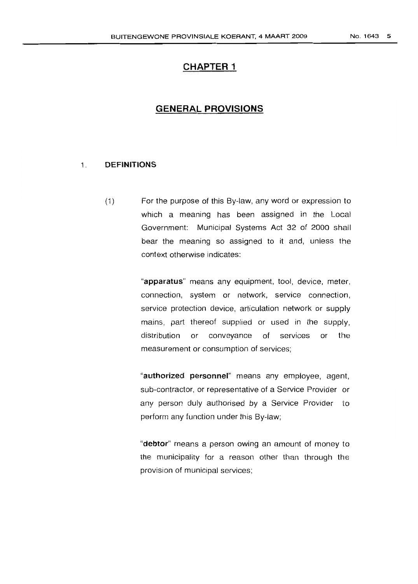# **CHAPTER 1**

# **GENERAL PROVISIONS**

#### t **DEFINITIONS**

(1) For the purpose of this By-law, any word or expression to which a meaning has been assigned in the Local Government: Municipal Systems Act 32 of 2000 shall bear the meaning so assigned to it and, unless the context otherwise indicates:

> "apparatus" means any equipment, tool, device, meter, connection, system or network, service connection, service protection device, articulation network or supply mains, part thereof supplied or used in the supply, distribution or conveyance of services or the measurement or consumption of services;

> "authorized personnel" means any employee, agent, sub-contractor, or representative of a Service Provider or any person duly authorised by a Service Provider to perform any function under this By-law;

> "debtor" means a person owing an amount of money to the municipality for a reason other than through the provision of municipal services;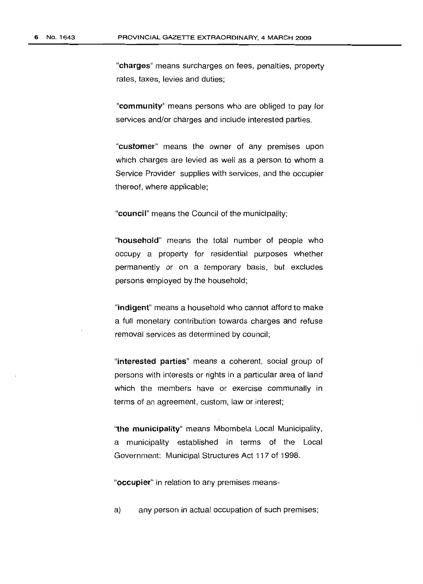"charges" means surcharges on fees, penalties, property rates, taxes, levies and duties;

"community" means persons who are obliged to pay for services and/or charges and include interested parties.

"customer" means the owner of any premises upon which charges are levied as well as a person to whom a Service Provider supplies with services, and the occupier thereof, where applicable;

"council" means the Council of the municipality;

"household" means the total number of people who occupy a property for residential purposes whether permanently or on a temporary basis, but excludes persons employed by the household;

"indigent" means a household who cannot afford to make a full monetary contribution towards charges and refuse removal services as determined by council;

"interested parties" means a coherent, social group of persons with interests or rights in a particular area of land which the members have or exercise communally in terms of an agreement, custom, law or interest;

"the **municipality"** means Mbombela Local Municipality, a municipality established in terms of the Local Government: Municipal Structures Act 117 of 1998.

"occupier" in relation to any premises means-

a) any person in actual occupation of such premises;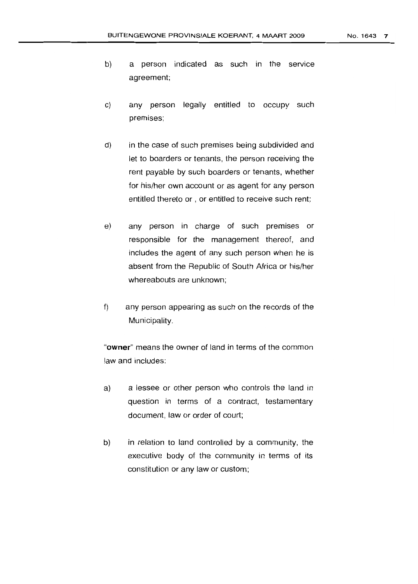- b) a person indicated as such in the service agreement;
- c) any person legally entitled to occupy such premises:
- d) in the case of such premises being subdivided and let to boarders or tenants, the person receiving the rent payable by such boarders or tenants, whether for his/her own account or as agent for any person entitled thereto or , or entitled to receive such rent;
- e) any person in charge of such premises or responsible for the management thereof, and includes the agent of any such person when he is absent from the Republic of South Africa or his/her whereabouts are unknown;
- f) any person appearing as such on the records of the Municipality.

"owner" means the owner of land in terms of the common law and includes:

- a) a lessee or other person who controls the land in question in terms of a contract, testamentary document, law or order of court;
- b) in relation to land controlled by a community, the executive body of the community in terms of its constitution or any law or custom;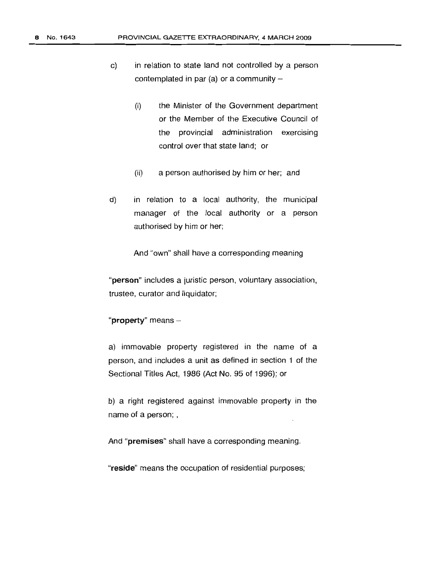- c) in relation to state land not controlled by a person contemplated in par (a) or a community  $-$ 
	- (i) the Minister of the Government department or the Member of the Executive Council of the provincial administration exercising control over that state land; or
	- (ii) a person authorised by him or her; and
- d) in relation to a local authority, the municipal manager of the local authority or a person authorised by him or her;

And "own" shall have a corresponding meaning

"person" includes a juristic person, voluntary association, trustee, curator and liquidator;

"property" means -

a) immovable property registered in the name of a person, and includes a unit as defined in section 1 of the Sectional Titles Act, 1986 (Act No. 95 of 1996); or

b) a right registered against immovable property in the name of a person; ,

And "premises" shall have a corresponding meaning.

"reside" means the occupation of residential purposes;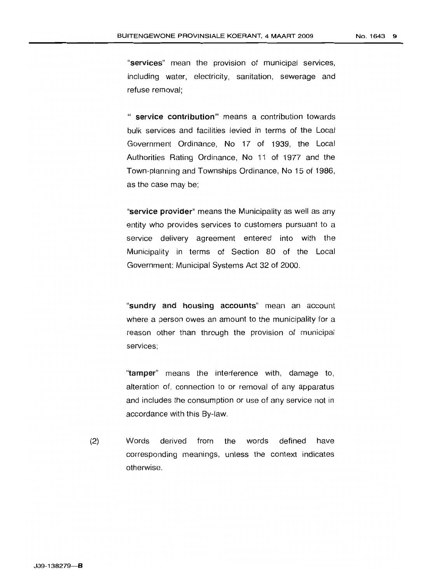No. 1643 9

"services" mean the provision of municipal services, including water, electricity, sanitation, sewerage and refuse removal;

" service contribution" means a contribution towards bulk services and facilities levied in terms of the Local Government Ordinance, No 17 of 1939, the Local Authorities Rating Ordinance, No 1i of 1977 and the Town-planning and Townships Ordinance, No 15 of 1986, as the case may be;

"service provider" means the Municipality as well as any entity who provides services to customers pursuant to a service delivery agreement entered into with the Municipality in terms of Section 80 of the Local Government: Municipal Systems Act 32 of 2000.

"sundry and housing accounts" mean an account where a person owes an amount to the municipality for a reason other than through the provision of municipal services;

"tamper" means the interference with, damage to, alteration of, connection to or removal of any apparatus and includes the consumption or use of any service not in accordance with this By-law.

(2) Words derived from the words defined have corresponding meanings, unless the context indicates otherwise.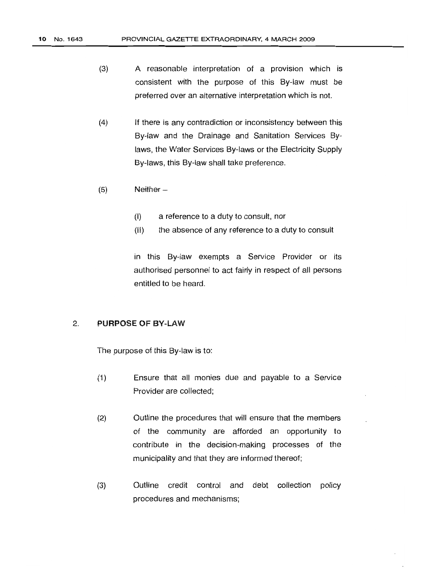- (3) A reasonable interpretation of a provision which is consistent with the purpose of this By-law must be preferred over an alternative interpretation which is not.
- (4) If there is any contradiction or inconsistency between this By-law and the Drainage and Sanitation Services Bylaws, the Water Services By-laws or the Electricity Supply By-laws, this By-law shall take preference.
- $(5)$  Neither  $-$ 
	- (I) a reference to a duty to consult, nor
	- (II) the absence of any reference to a duty to consult

in this By-law exempts a Service Provider or its authorised personnel to act fairly in respect of all persons entitled to be heard.

#### 2. PURPOSE OF BY-LAW

The purpose of this By-law is to:

- (1) Ensure that all monies due and payable to a Service Provider are collected;
- (2) Outline the procedures that will ensure that the members of the community are afforded an opportunity to contribute in the decision-making processes of the municipality and that they are informed thereof;
- (3) Outline credit control and debt collection policy procedures and mechanisms;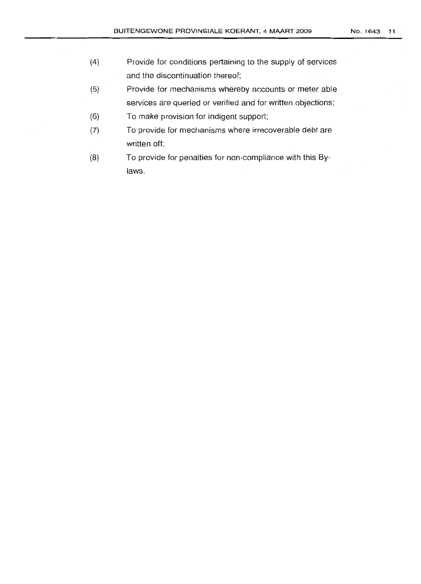- (4) Provide for conditions pertaining to the supply of services and the discontinuation thereof;
- (5) Provide, for mechanisms whereby accounts or meter able services are queried or verified and for written objections;
- (6) To make provision for indigent support;
- (7) To provide for mechanisms where irrecoverable debt are written off;
- (8) To provide for penalties for non-compliance with this Bylaws.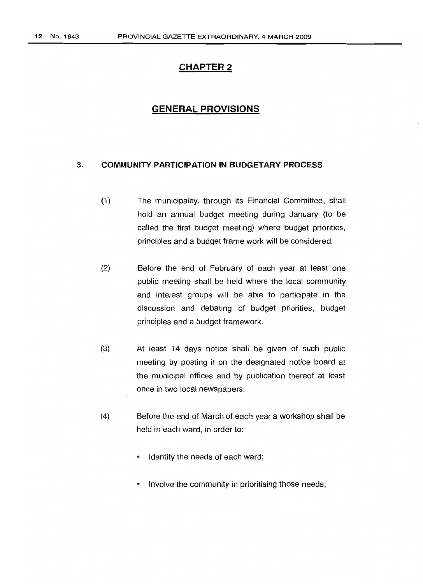# **CHAPTER 2**

# **GENERAL PROVISIONS**

#### 3. **COMMUNITY PARTICIPATION IN BUDGETARY PROCESS**

- (1) The municipality, through its Financial Committee, shall hold an annual budget meeting during January (to be called the first budget meeting) where budget priorities, principles and a budget frame work will be considered.
- (2) Before the end of February of each year at least one public meeting shall be held where the local community and interest groups will be able to participate in the discussion and debating of budget priorities, budget principles and a budget framework.
- (3) At least 14 days notice shall be given of such public meeting by posting it on the designated notice board at the municipal offices and by publication thereof at least once in two local newspapers.
- (4) Before the end of March of each year a workshop shall be held in each ward, in order to:
	- Identify the needs of each ward;
	- <sup>e</sup> Involve the community in prioritising those needs;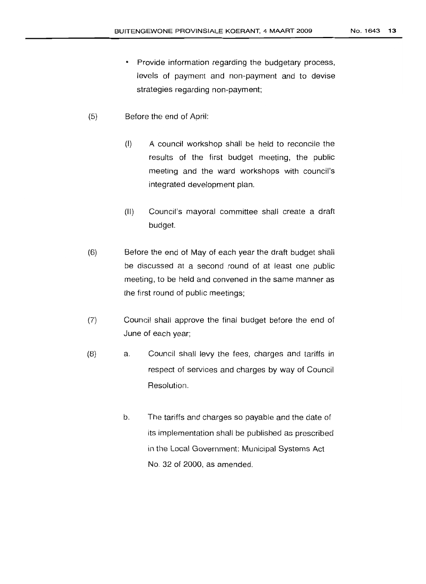- Provide information regarding the budgetary process, levels of payment and non-payment and to devise strategies regarding non-payment;
- *(Ei)* Before the end of April:
	- (I) A council workshop shall be held to reconcile the results of the first budget meeting, the public meeting and the ward workshops with council's integrated development plan.
	- (II) Council's mayoral committee shall create a draft budget.
- (B) Before the end of May of each year the draft budget shall be discussed at a second round of at least one public meeting, to be held and convened in the same manner as the first round of public meetings;
- (7) Council shall approve the final budget before the end of June of each year;
- (B) a. Council shall levy the fees, charges and tariffs in respect of services and charges by way of Council Resolution.
	- b. The tariffs and charges so payable and the date of its implementation shall be published as prescribed in the Local Government: Municipal Systems Act No. 32 of 2000, as amended.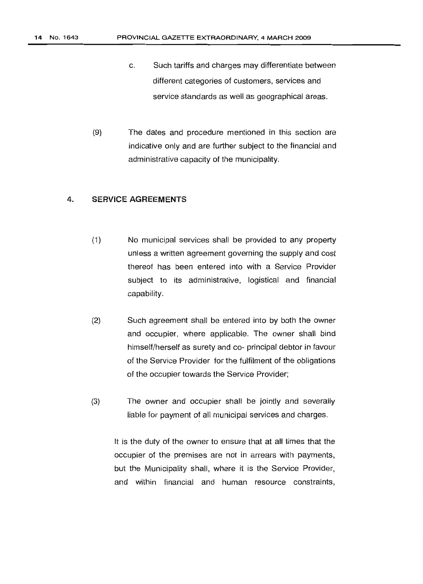- c. Such tariffs and charges may differentiate between different categories of customers, services and service standards as well as geographical areas.
- (9) The dates and procedure mentioned in this section are indicative only and are further subject to the financial and administrative capacity of the municipality.

#### 4. SERVICE AGREEMENTS

- (1) No municipal services shall be provided to any property unless a written agreement governing the supply and cost thereof has been entered into with a Service Provider subject to its administrative, logistical and financial capability.
- (2) Such agreement shall be entered into by both the owner and occupier, where applicable. The owner shall bind himself/herself as surety and co- principal debtor in favour of the Service Provider for the fulfilment of the obligations of the occupier towards the Service Provider;
- (3) The owner and occupier shall be jointly and severally liable for payment of all municipal services and charges.

It is the duty of the owner to ensure that at all times that the occupier of the premises are not in arrears with payments, but the Municipality shall, where it is the Service Provider, and within financial and human resource constraints,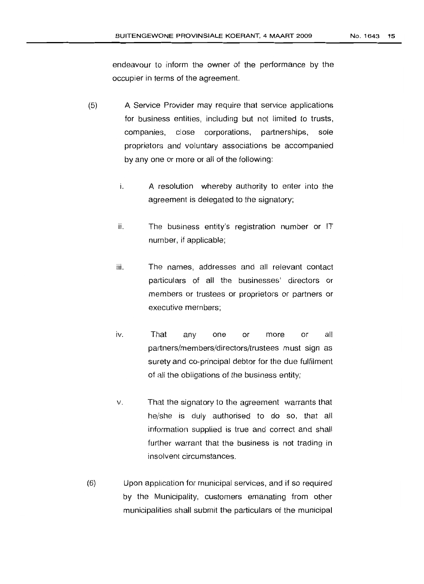endeavour to inform the owner of the performance by the occupier in terms of the agreement.

- (5) A Service Provider may require that service applications for business entities, including but not limited to trusts, companies, close corporations, partnerships, sole proprietors and voluntary associations be accompanied by any one or more or all of the following:
	- i. A resolution whereby authority to enter into the agreement is delegated to the signatory;
	- ii. The business entity's registration number or IT number, if applicable;
	- iii. The names, addresses and all relevant contact particulars of all the businesses' directors or members or trustees or proprietors or partners or executive members;
	- iv. That any one or more or all paftners/members/directors/trustees must sign as surety and co-principal debtor for the due fulfilment of all the obligations of the business entity;
	- V. That the signatory to the agreement warrants that he/she is duly authorised to do so, that all information supplied is true and correct and shall further warrant that the business is not trading in insolvent circumstances.
- (fl) Upon application for municipal services, and if so required by the Municipality, customers emanating from other municipalities shall submit the particulars of the municipal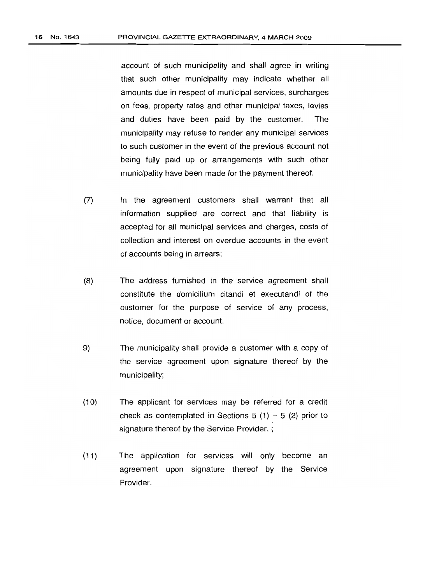account of such municipality and shall agree in writing that such other municipality may indicate whether all amounts due in respect of municipal services, surcharges on fees, property rates and other municipal taxes, levies and duties have been paid by the customer. The municipality may refuse to render any municipal services to such customer in the event of the previous account not being fully paid up or arrangements with such other municipality have been made for the payment thereof.

- (7) In the agreement customers shall warrant that all information supplied are correct and that liability is accepted for all municipal services and charges, costs of collection and interest on overdue accounts in the event of accounts being in arrears;
- (8) The address furnished in the service agreement shall constitute the domicilium citandi et executandi of the customer for the purpose of service of any process, notice, document or account.
- 9) The municipality shall provide a customer with a copy of the service agreement upon signature thereof by the municipality;
- (10) The applicant for services may be referred for a credit check as contemplated in Sections 5 (1)  $-$  5 (2) prior to signature thereof by the Service Provider.;
- (11) The application for services will only become an agreement upon signature thereof by the Service Provider.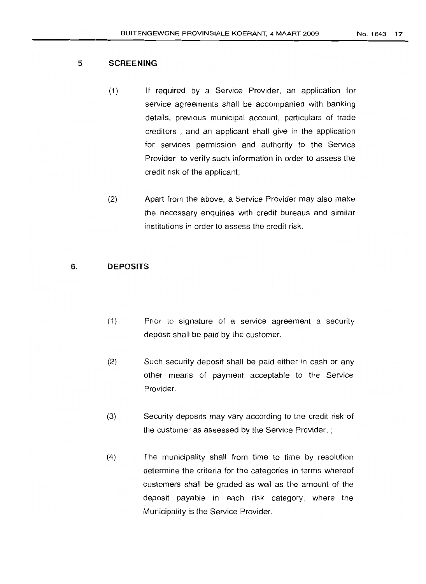- (1) If required by a Service Provider, an application for service agreements shall be accompanied with banking details, previous municipal account, particulars of trade creditors , and an applicant shall give in the application for services permission and authority to the Service Provider to verify such information in order to assess the credit risk of the applicant;
- (2) Apart from the above, a Service Provider may also make the necessary enquiries with credit bureaus and similar institutions in order to assess the credit risk.

### 6. DEPOSITS

- (1) Prior to signature of a service agreement a security deposit shall be paid by the customer.
- (2) Such security deposit shall be paid either in cash or any other means of payment acceptable to the Service Provider.
- (3) Security deposits may vary according to the credit risk of the customer as assessed by the Service Provider. ;
- (4) The municipality shall from time to time by resolution determine the criteria for the categories in terms whereof customers shall be graded as well as the amount of the deposit payable in each risk category, where the Municipality is the Service Provider.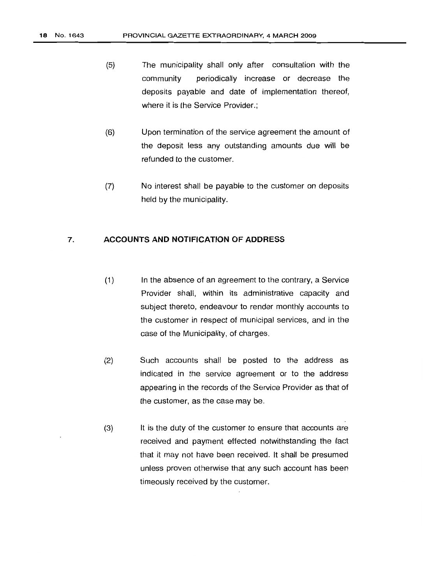- (5) The municipality shall only after consultation with the community periodically increase or decrease the deposits payable and date of implementation thereof, where it is the Service Provider.;
- (6) Upon termination of the service agreement the amount of the deposit less any outstanding amounts due will be refunded to the customer.
- (7) No interest shall be payable to the customer on deposits held by the municipality.

## 7. **ACCOUNTS AND NOTIFICATION OF ADDRESS**

- (1) In the absence of an agreement to the contrary, a Service Provider shall, within its administrative capacity and subject thereto, endeavour to render monthly accounts to the customer in respect of municipal services, and in the case of the Municipality, of charges.
- (2) Such accounts shall be posted to the address as indicated in the service agreement or to the address appearing in the records of the Service Provider as that of the customer, as the case may be.
- (3) It is the duty of the customer to ensure that accounts are received and payment effected notwithstanding the fact that it may not have been received. It shall be presumed unless proven otherwise that any such account has been timeously received by the customer.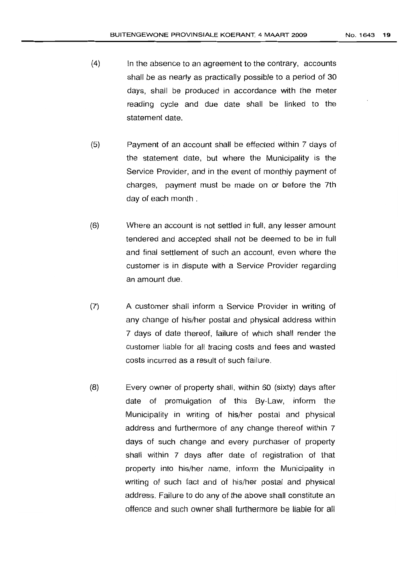- (4) In the absence to an agreement to the contrary, accounts shall be as nearly as practically possible to a period of 30 days, shall be produced in accordance with the meter reading cycle and due date shall be linked to the statement date.
- (5) Payment of an account shall be effected within 7 days of the statement date, but where the Municipality is the Service Provider, and **in** the event of monthly payment of charges, payment must be made on or before the 7th day of each month.
- (6) Where an account is not settled in full, any lesser amount tendered and accepted shall not be deemed to be in full and final settlement of such an account, even where the customer is in dispute with a Service Provider regarding an amount due.
- (7) A customer shall inform a Service Provider in writing of any change of his/her postal and physical address within 7 days of date thereof, failure of which shall render the customer liable for all tracing costs and fees and wasted costs incurred as a result of such failure.
- (8) Every owner of property shall, within 60 (sixty) days after date of promulgation of this By-Law, inform the Municipality in writing of his/her postal and physical address and furthermore of any change thereof within 7 days of such change and every purchaser of property shall within 7 days after date of registration of that property into his/her name, inform the Municipality in writing of such fact and of his/her postal and physical address. Failure to do any of the above shall constitute an offence, and such owner shall furthermore be liable for all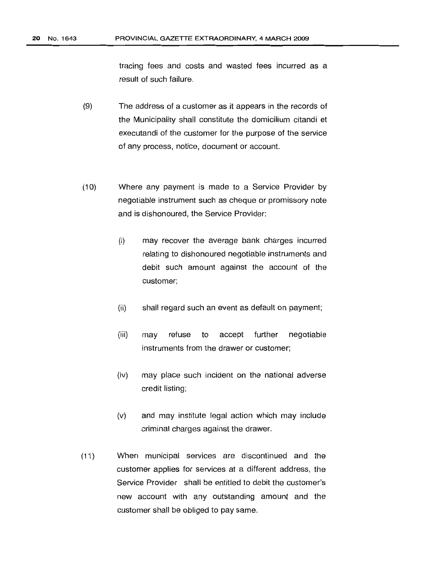tracing fees and costs and wasted fees incurred as a result of such failure.

- (9) The address of a customer as it appears in the records of the Municipality shall constitute the domicilium citandi et executandi of the customer for the purpose of the service of any process, notice, document or account.
- (10) Where any payment is made to a Service Provider by negotiable instrument such as cheque or promissory note and is dishonoured, the Service Provider:
	- (i) may recover the average bank charges incurred relating to dishonoured negotiable instruments and debit such amount against the account of the customer;
	- (ii) shall regard such an event as default on payment;
	- (iii) may refuse to accept further negotiable instruments from the drawer or customer;
	- (iv) may place such incident on the national adverse credit listing;
	- (v) and may institute legal action which may include criminal charges against the drawer.
- (11) When municipal services are discontinued and the customer applies for services at a different address, the Service Provider shall be entitled to debit the customer's new account with any outstanding amount and the customer shall be obliged to pay same.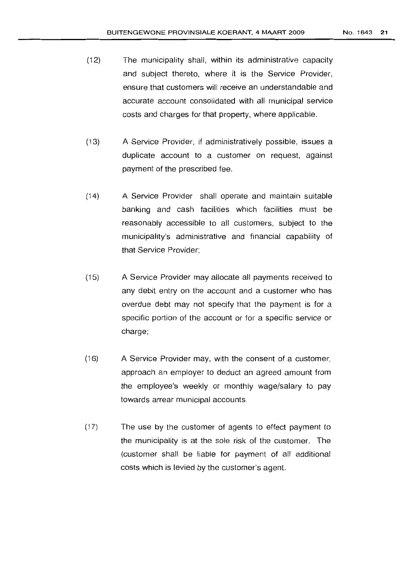- (12) The municipality shall, within its administrative capacity and subject thereto, where it is the Service Provider, ensure that customers will receive an understandable and accurate account consolidated with all municipal service costs and charges for that property, where applicable.
- (13) A Service Provider, if administratively possible, issues a duplicate account to a customer on request, against payment of the prescribed fee.
- (14) A Service Provider shall operate and maintain suitable banking and cash facilities which facilities must be reasonably accessible to all customers, subject to the municipality's administrative and financial capability of that Service Provider;
- (15) A Service Provider may allocate all payments received to any debit entry on the account and a customer who has overdue debt may not specify that the payment is for a specific portion of the account or tor a specific service or charge;
- (16) A Service Provider may, with the consent of a customer, approach an employer to deduct an agreed amount from the employee's weekly or monthly waqe/salary to pay towards arrear municipal accounts.
- $(17)$  The use by the customer of agents to effect payment to the municipality is at the sale risk of the customer. The (customer shall be liable for payment of all additional costs which is levied by the customer's agent.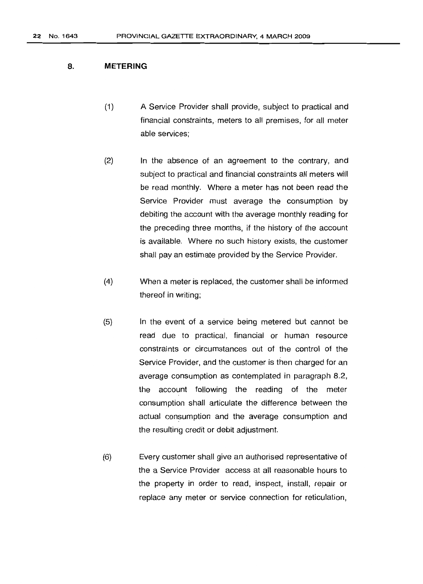#### 8. **METERING**

- (1) A Service Provider shall provide, subject to practical and financial constraints, meters to all premises, for all meter able services;
- (2) In the absence of an agreement to the contrary, and subject to practical and financial constraints all meters will be read monthly. Where a meter has not been read the Service Provider must average the consumption by debiting the account with the average monthly reading for the preceding three months, if the history of the account is available. Where no such history exists, the customer shall pay an estimate provided by the Service Provider.
- (4) When a meter is replaced, the customer shall be informed thereof in writing;
- (5) In the event of a service being metered but cannot be read due to practical, financial or human resource constraints or circumstances out of the control of the Service Provider, and the customer is then charged for an average consumption as contemplated in paragraph 8.2, the account following the reading of the meter consumption shall articulate the difference between the actual consumption and the average consumption and the resulting credit or debit adjustment.
- (6) Every customer shall give an authorised representative of the a Service Provider access at all reasonable hours to the property in order to read, inspect, install, repair or replace any meter or service connection for reticulation,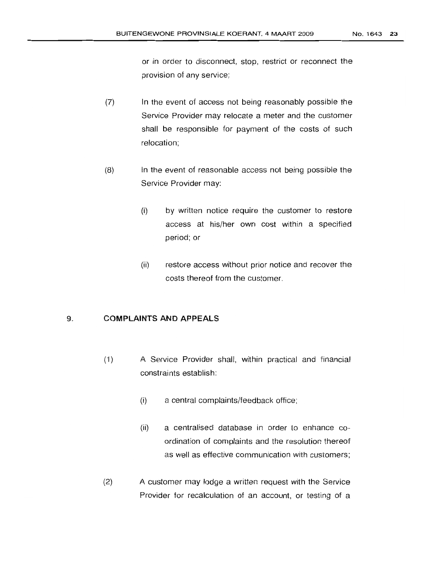or in order to disconnect, stop, restrict or reconnect the provision of any service;

- (7) In the event of access not being reasonably possible the Service Provider may relocate a meter and the customer shall be responsible for payment of the costs of such relocation;
- (8) In the event of reasonable access not being possible the Service Provider may:
	- (i) by written notice require the customer to restore access at his/her own cost within a specified period; or
	- (ii) restore access without prior notice and recover the costs thereof from the customer.

#### 9. COMPLAINTS AND APPEALS

- (1) A Service Provider shall, within practical and financial constraints establish:
	- (i) a central complaints/feedback office;
	- (ii) a centralised database in order to enhance coordination of complaints and the resolution thereof as well as effective communication with customers;
- (2) A customer may lodge a written request with the Service Provider for recalculation of an account, or testing of a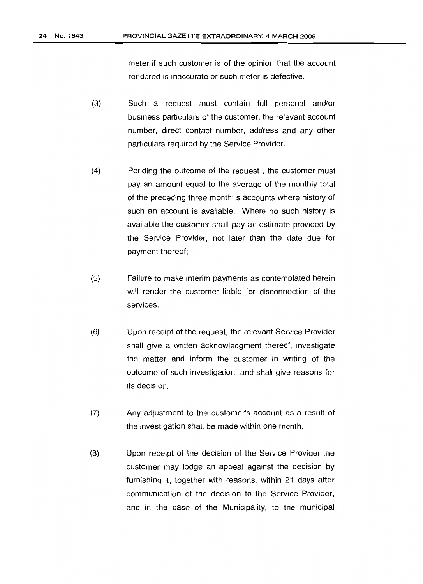meter if such customer is of the opinion that the account rendered is inaccurate or such meter is defective.

- (3) Such a request must contain full personal and/or business particulars of the customer, the relevant account number, direct contact number, address and any other particulars required by the Service Provider.
- (4) Pending the outcome of the request, the customer must pay an amount equal to the average of the monthly total of the preceding three month's accounts where history of such an account is available. Where no such history is available the customer shall pay an estimate provided by the Service Provider, not later than the date due for payment thereof;
- (5) Failure to make interim payments as contemplated herein will render the customer liable for disconnection of the services.
- (6) Upon receipt of the request, the relevant Service Provider shall give a written acknowledgment thereof, investigate the matter and inform the customer in writing of the outcome of such investigation, and shall give reasons for its decision.
- (7) Any adjustment to the customer's account as a result of the investigation shall be made within one month.
- (8) Upon receipt of the decision of the Service Provider the customer may lodge an appeal against the decision by furnishing it, together with reasons, within 21 days after communication of the decision to the Service Provider, and in the case of the Municipality, to the municipal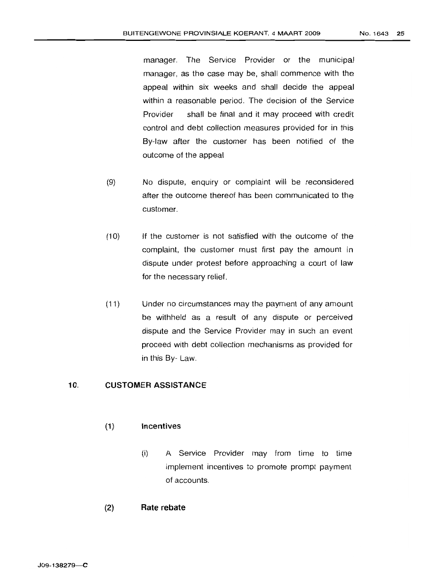manager. The Service Provider or the municipal manager, as the case may be, shall commence with the appeal within six weeks and shall decide the appeal within a reasonable period. The decision of the Service Provider shall be final and it may proceed with credit control and debt collection measures provided for in this By-law after the customer has been notified of the outcome of the appeal

- (9) No dispute, enquiry or complaint will be reconsidered after the outcome thereof has been communicated to the customer.
- (10) If the customer is not satisfied with the outcome of the complaint, the customer must first pay the amount in dispute under protest before approaching a court of law for the necessary relief.
- (11) Under no circumstances may the payment of any amount be withheld as a result of any dispute or perceived dispute and the Service Provider may in such an event proceed with debt collection mechanisms as provided for in this By- Law.

## 10. **CUSTOMER ASSISTANCE**

#### (1) Incentives

- (i) A Service Provider may from time to time implement incentives to promote prompt payment of accounts.
- (2) **Rate rebate**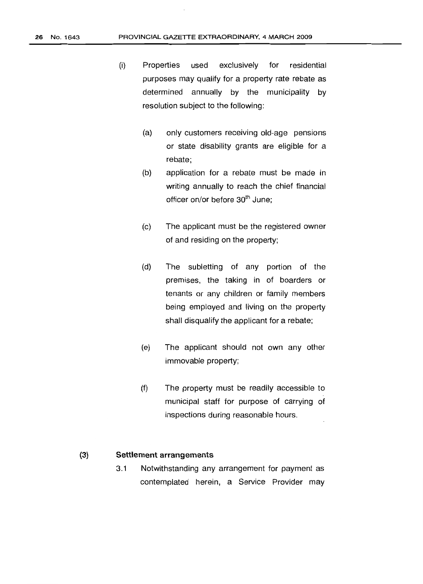- (i) Properties used exclusively for residential purposes may qualify for a property rate rebate as determined annually by the municipality by resolution subject to the following:
	- (a) only customers receiving old-age pensions or state disability grants are eligible for a rebate;
	- (b) application for a rebate must be made in writing annually to reach the chief financial officer on/or before 30<sup>th</sup> June;
	- (c) The applicant must be the registered owner of and residing on the property;
	- (d) The subletting of any portion of the premises, the taking in of boarders or tenants or any children or family members being employed and living on the property shall disqualify the applicant for a rebate;
	- (e) The applicant should not own any other immovable property;
	- (f) The property must be readily accessible to municipal staff for purpose of carrying of inspections during reasonable hours.

### (3) Settlement arrangements

3.1 Notwithstanding any arrangement for payment as contemplated herein, a Service Provider may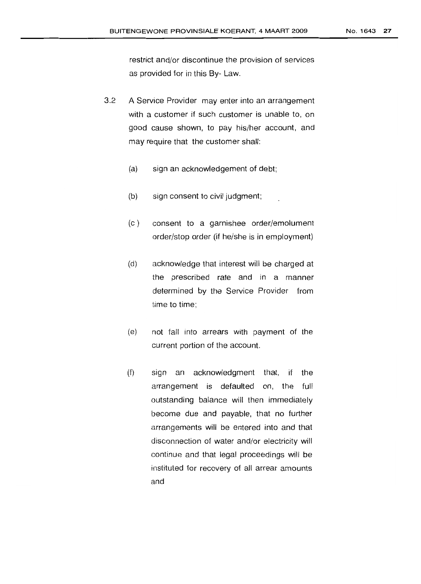restrict and/or discontinue the provision of services as provided for in this By- Law.

- 3.2 A Service Provider may enter into an arrangement with a customer if such customer is unable to, on good cause shown, to pay his/her account, and may require that the customer shall:
	- (a) sign an acknowledgement of debt;
	- (b) sign consent to civil judgment;
	- (c) consent to a garnishee order/emolument order/stop order (if he/she is in employment)
	- (d) acknowledge that interest will be charged at the prescribed rate and in a manner determined by the Service Provider from time to time;
	- (e) not fall into arrears with payment of the current portion of the account.
	- (f) sign an acknowledgment that, if the arrangement is defaulted on, the full outstanding balance will then immediately become due and payable, that no further arrangements will be entered into and that disconnection of water and/or electricity will continue and that legal proceedings will be instituted for recovery of all arrear amounts and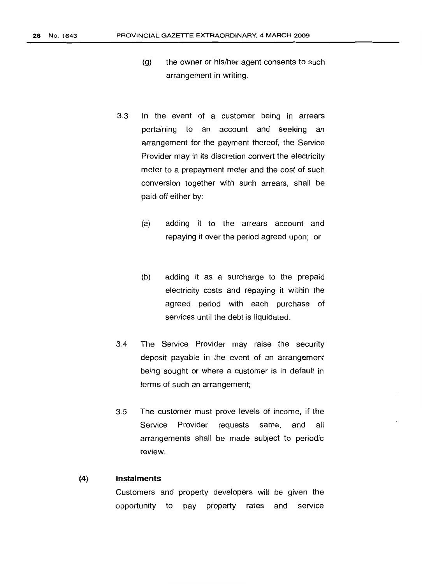- (g) the owner or his/her agent consents to such arrangement in writing.
- 3.3 In the event of a customer being in arrears pertaining to an account and seeking an arrangement for the payment thereof, the Service Provider may in its discretion convert the electricity meter to a prepayment meter and the cost of such conversion together with such arrears, shall be paid off either by:
	- (a) adding it to the arrears account and repaying it over the period agreed upon; or
	- (b) adding it as a surcharge to the prepaid electricity costs and repaying it within the agreed period with each purchase of services until the debt is liquidated.
- 3.4 The Service Provider may raise the security deposit payable in the event of an arrangement being sought or where a customer is in default in terms of such an arrangement;
- 3.5 The customer must prove levels of income, if the Service Provider requests same, and all arrangements shall be made subject to periodic review.

#### (4) **Instalments**

Customers and property developers will be given the opportunity to pay property rates and service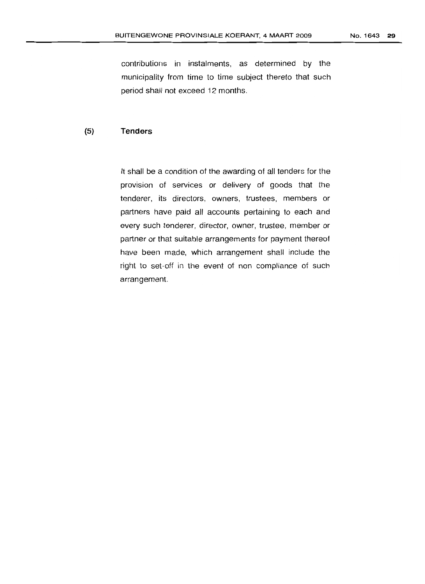contributions in instalments, as determined by the municipality from time to time subject thereto that such period shall not exceed 12 months.

### **(5) Tenders**

It shall be a condition of the awarding of all tenders for the provision of services or delivery of goods that the tenderer, its directors, owners, trustees, members or partners have paid all accounts pertaining to each and every such tenderer, director, owner, trustee, member or partner or that suitable arrangements for payment thereof have been made, which arrangement shall include the right to set-off in the event of non compliance of such arrangement.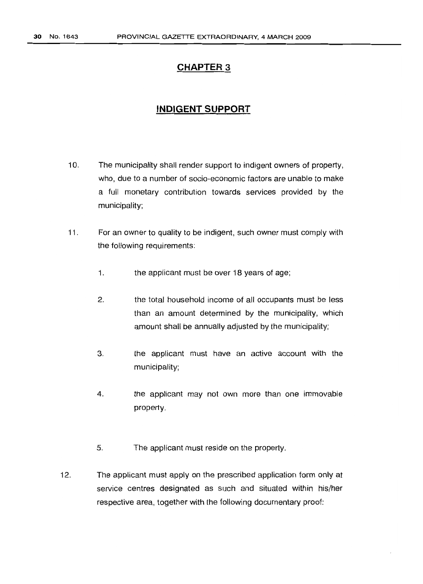# **CHAPTER 3**

# **INDIGENT SUPPORT**

- 10. The municipality shall render support to indigent owners of property, who, due to a number of socio-economic factors are unable to make a full monetary contribution towards services provided by the municipality;
- 11. For an owner to quality to be indigent, such owner must comply with the following requirements:
	- 1. the applicant must be over 18 years of age;
	- 2. the total household income of all occupants must be less than an amount determined by the municipality, which amount shall be annually adjusted by the municipality;
	- 3. the applicant must have an active account with the municipality;
	- 4. the applicant may not own more than one immovable property.
	- 5. The applicant must reside on the property.
- 12. The applicant must apply on the prescribed application form only at service centres designated as such and situated within his/her respective area, together with the following documentary proof: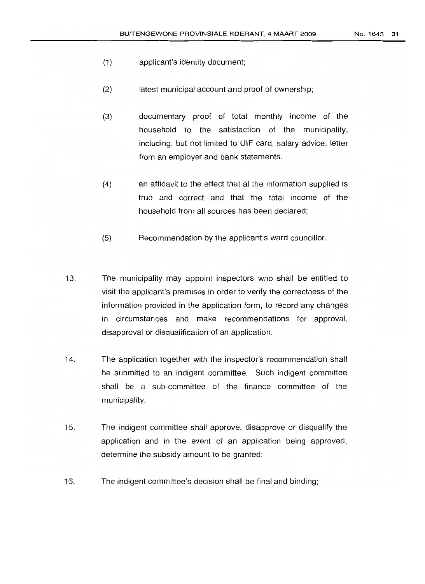- (1) applicant's identity document;
- (2) latest municipal account and proof of ownership;
- (3) documentary proof of total monthly income of the household to the satisfaction of the municipality, including, but not limited to LlIF card, salary advice, letter from an employer and bank statements.
- (4) an affidavit to the effect that al the information supplied is true and correct and that the total income of the household from all sources has been declared;
- (5) Recommendation by the applicant's ward councillor.
- 13. The municipality may appoint inspectors who shall be entitled to visit the applicant's premises in order to verify the correctness of the information provided in the application form, to record any changes in circumstances and make recommendations for approval, disapproval or disqualification of an application.
- 14. The application together with the inspector's recommendation shall be submitted to an indigent committee. Such indigent committee shall be a sub-committee of the finance committee of the municipality;
- 15. The indigent committee shall approve, disapprove or disqualify the application and in the event of an application being approved, determine the subsidy amount to be granted;
- 16. The indigent committee's decision shall be final and binding;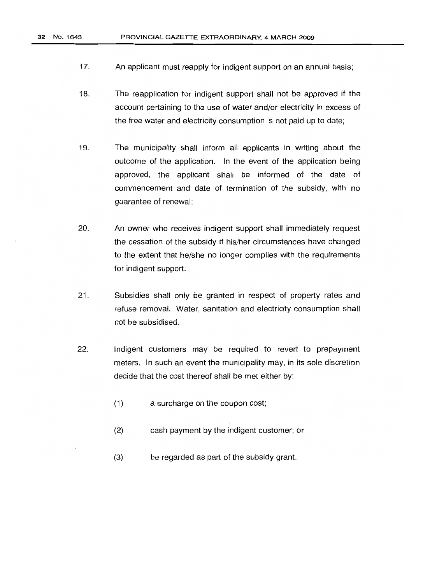- 17. An applicant must reapply for indigent support on an annual basis;
- 18. The reapplication for indigent support shall not be approved if the account pertaining to the use of water and/or electricity in excess of the free water and electricity consumption is not paid up to date;
- 19. The municipality shall inform all applicants in writing about the outcome of the application. In the event of the application being approved, the applicant shall be informed of the date of commencement and date of termination of the subsidy, with no guarantee of renewal;
- 20. An owner who receives indigent support shall immediately request the cessation of the subsidy if his/her circumstances have changed to the extent that he/she no longer complies with the requirements for indigent support.
- 21. Subsidies shall only be granted in respect of property rates and refuse removal. Water, sanitation and electricity consumption shall not be subsidised.
- 22. Indigent customers may be required to revert to prepayment meters. In such an event the municipality may, in its sole discretion decide that the cost thereof shall be met either by:
	- (1) a surcharge on the coupon cost;
	- (2) cash payment by the indigent customer; or
	- (3) be regarded as part of the subsidy grant.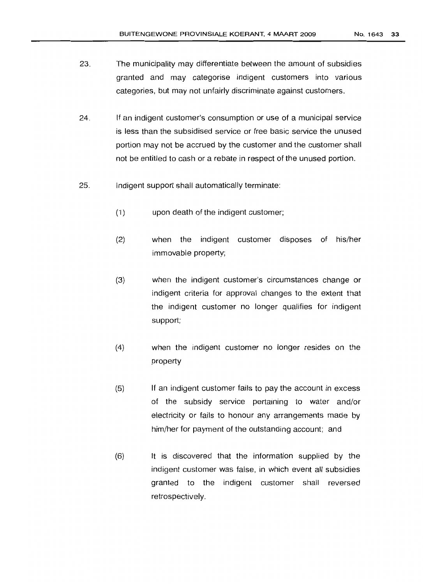- 23. The municipality may differentiate between the amount of subsidies granted and may categorise indigent customers into various categories, but may not unfairly discriminate against customers.
- 24. If an indigent customer's consumption or use of a municipal service is less than the subsidised service or free basic service the unused portion may not be accrued by the customer and the customer shall not be entitled to cash or a rebate in respect of the unused portion.
- 25. Indigent support shall automatically terminate:
	- (1) upon death of the indigent customer;
	- (2) when the indigent customer disposes of his/her immovable property;
	- (3) when the indigent customer's circumstances change or indigent criteria for approval changes to the extent that the indigent customer no longer qualifies for indigent support;
	- (4) when the indigent customer no longer resides on the property
	- (5) If an indigent customer fails to pay the account in excess of the subsidy service pertaining to water and/or electricity or fails to honour any arrangements made by him/her for payment of the outstanding account; and
	- (6) It is discovered that the information supplied by the indigent customer was false, in which event all subsidies granted to the indigent customer shall reversed retrospectively.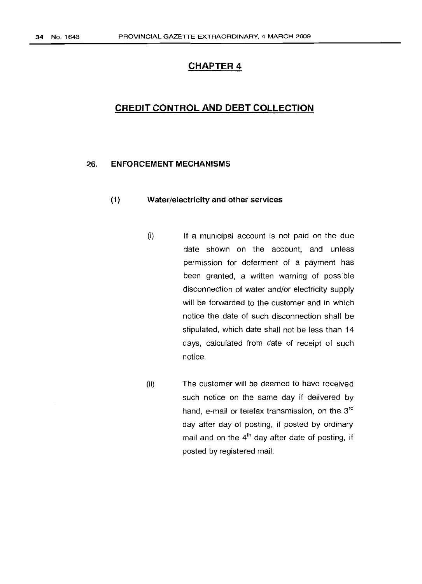# **CHAPTER 4**

# **CREDIT CONTROL AND DEBT COLLECTION**

#### 26. **ENFORCEMENT MECHANISMS**

#### (1) Water/electricity and other services

- $(i)$  If a municipal account is not paid on the due date shown on the account, and unless permission for deferment of a payment has been granted, a written warning of possible disconnection of water and/or electricity supply will be forwarded to the customer and in which notice the date of such disconnection shall be stipulated, which date shall not be less than 14 days, calculated from date of receipt of such notice.
- (ii) The customer will be deemed to have received such notice on the same day if delivered by hand, e-mail or telefax transmission, on the 3<sup>rd</sup> day after day of posting, if posted by ordinary mail and on the  $4<sup>th</sup>$  day after date of posting, if posted by registered mail.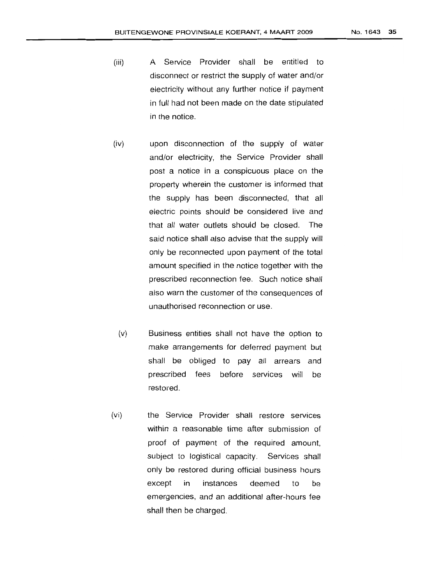- (iii) A Service Provider shall be entitled to disconnect or restrict the supply of water and/or electricity without any further notice if payment in full had not been made on the date stipulated in the notice.
- (iv) upon disconnection of the supply of water and/or electricity, the Service Provider shall post a notice in a conspicuous place on the property wherein the customer is informed that the supply has been disconnected, that all electric points should be considered live and that all water outlets should be closed. The said notice shall also advise that the supply will only be reconnected upon payment of the total amount specified in the notice together with the prescribed reconnection fee. Such notice shall also warn the customer of the consequences of unauthorised reconnection or use.
- (v) Business entities shall not have the option to make arrangements for deferred payment but shall be obliged to pay all arrears and prescribed fees before services will be restored.
- (vi) the Service Provider shall restore services within a reasonable time after submission of proof of payment of the required amount, subject to logistical capacity. Services shall only be restored during official business hours except in instances deemed to be emergencies, and an additional after-hours fee shall then be charged.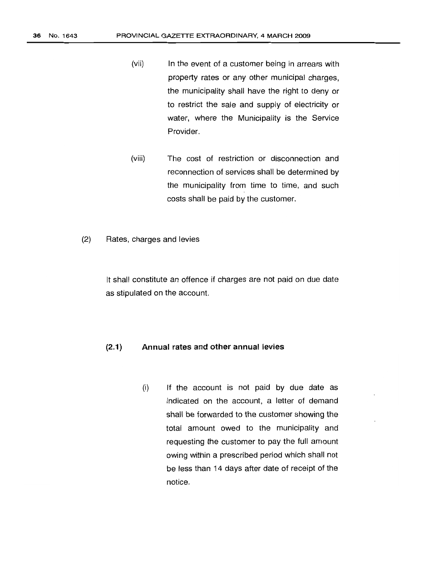- (vii) In the event of a customer being in arrears with property rates or any other municipal charges, the municipality shall have the right to deny or to restrict the sale and supply of electricity or water, where the Municipality is the Service Provider.
- (viii) The cost of restriction or disconnection and reconnection of services shall be determined by the municipality from time to time, and such costs shall be paid by the customer.
- (2) Rates, charges and levies

It shall constitute an offence if charges are not paid on due date as stipulated on the account.

#### (2.1) Annual rates and other annual levies

(i) If the account is not paid by due date as indicated on the account, a letter of demand shall be forwarded to the customer showing the total amount owed to the municipality and requesting the customer to pay the full amount owing within a prescribed period which shall not be less than 14 days after date of receipt of the notice.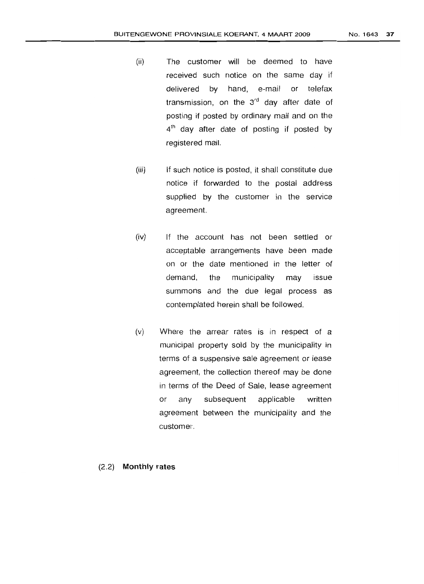- (ii) The customer will be deemed to have received such notice on the same day if delivered by hand, e-mail or telefax transmission, on the  $3<sup>rd</sup>$  day after date of posting if posted by ordinary mail and on the 4<sup>th</sup> day after date of posting if posted by registered mail.
- (iii) If such notice is posted, it shall constitute due notice if forwarded to the postal address supplied by the customer in the service agreement.
- (iv) If the account has not been settled or acceptable arrangements have been made on or the date mentioned in the letter of demand, the municipality may issue summons and the due legal process as contemplated herein shall be followed.
- (v) Where the arrear rates is in respect of a municipal property sold by the municipality in terms of a suspensive sale agreement or lease agreement, the collection thereof may be done in terms of the Deed of Sale, lease agreement or any subsequent applicable written agreement between the municipality and the customer.

### (2.2) Monthly rates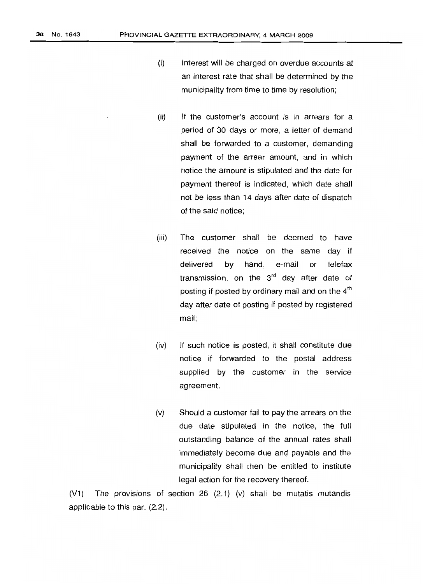- (i) Interest will be charged on overdue accounts at an interest rate that shall be determined by the municipality from time to time by resolution;
- (ii) If the customer's account is in arrears for a period of 30 days or more, a letter of demand shall be forwarded to a customer, demanding payment of the arrear amount, and in which notice the amount is stipulated and the date for payment thereof is indicated, which date shall not be less than 14 days after date of dispatch of the said notice;
- (iii) The customer shall be deemed to have received the notice on the same day if delivered by hand, e-mail or telefax transmission, on the  $3<sup>rd</sup>$  day after date of posting if posted by ordinary mail and on the  $4<sup>th</sup>$ day after date of posting if posted by registered mail;
- (iv) If such notice is posted, it shall constitute due notice if forwarded to the postal address supplied by the customer in the service agreement.
- (v) Should a customer fail to pay the arrears on the due date stipulated in the notice, the full outstanding balance of the annual rates shall immediately become due and payable and the municipality shall then be entitled to institute legal action for the recovery thereof.

(V1) The provisions of section 26 (2.1) (v) shall be mutatis mutandis applicable to this par. (2.2).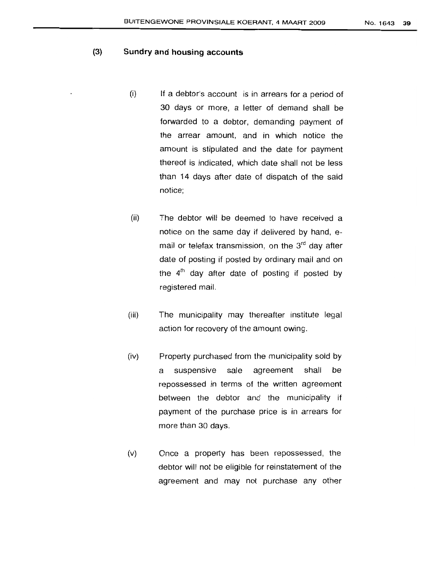## (3) **Sundry and housing accounts**

- $(i)$  If a debtor's account is in arrears for a period of 30 days or more, a letter of demand shall be forwarded to a debtor, demanding payment of the arrear amount, and in which notice the amount is stipulated and the date for payment thereof is indicated, which date shall not be less than 14 days after date of dispatch of the said notice;
- (ii) The debtor will be deemed to have received a notice on the same day if delivered by hand, email or telefax transmission, on the  $3<sup>rd</sup>$  day after date of posting if posted by ordinary mail and on the  $4<sup>th</sup>$  day after date of posting if posted by registered mail.
- (iii) The municipality may thereafter institute legal action for recovery of the amount owing.
- (iv) Property purchased from the municipality sold by a suspensive sale aqreernent shall be repossessed in terms of the written agreement between the debtor and' the municipality if payment of the purchase price is in arrears for more than 30 days.
- (v) Once a property has been repossessed, the debtor will not be eligible for reinstatement of the agreement and may not purchase any other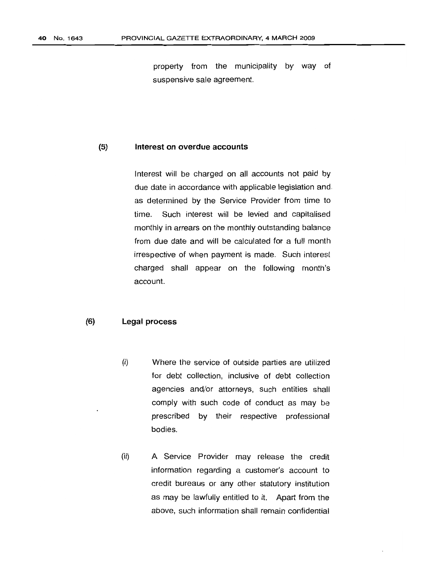property from the municipality by way of suspensive sale agreement.

## **(5) Interest on overdue accounts**

Interest will be charged on all accounts not paid by due date in accordance with applicable legislation and. as determined by the Service Provider from time to time. Such interest will be levied and capitalised monthly in arrears on the monthly outstanding balance from due date and will be calculated for a full month irrespective of when payment is made. Such interest charged shall appear on the following month's account.

### **(6) Legal process**

- (i) Where the service of outside parties are utilized for debt collection, inclusive of debt collection agencies and/or attorneys, such entities shall comply with such code of conduct as may be prescribed by their respective professional bodies.
- (ii) A Service Provider may release the credit information regarding a customer's account to credit bureaus or any other statutory institution as may be lawfully entitled to it. Apart from the above, such information shall remain confidential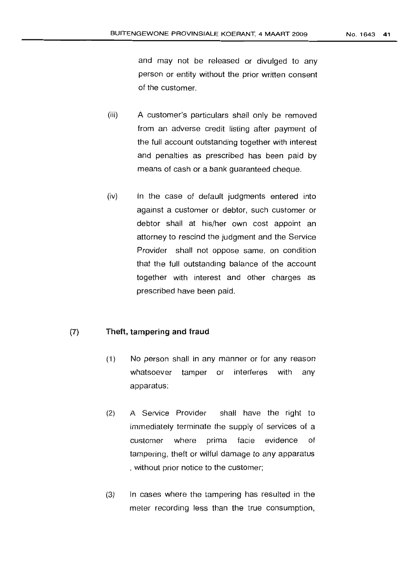and may not be released or divulged to any person or entity without the prior written consent of the customer.

- (iii) A customer's particulars shall only be removed from an adverse credit listing after payment of the full account outstanding together with interest and penalties as prescribed has been paid by means of cash or a bank guaranteed cheque.
- (iv) In the case of default judgments entered into against a customer or debtor, such customer or debtor shall at his/her own cost appoint an attorney to rescind the judgment and the Service Provider shall not oppose same, on condition that the full outstanding balance of the account together with interest and other charges as prescribed have been paid.

### (7) Theft, tampering and fraud

- (1) No person shall in any manner or for any reason whatsoever tamper or interferes with any apparatus;
- (2) A Service Provider shall have the right to immediately terminate the supply of services of a customer where prima facie evidence of tampering, theft or wilful damage to any apparatus , without prior notice to the customer;
- (3) In cases where the tampering has resulted in the meter recording less than the true consumption,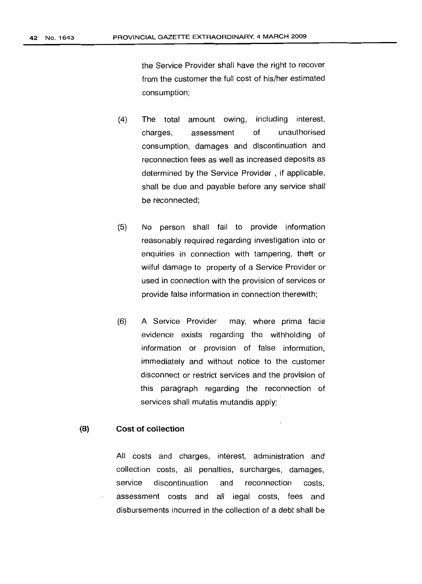the Service Provider shall have the right to recover from the customer the full cost of his/her estimated consumption;

- (4) The total amount owing, including interest, charges, assessment of unauthorised consumption, damages and discontinuation and reconnection fees as well as increased deposits as determined by the Service Provider, if applicable, shall be due and payable before any service shall be reconnected;
- (5) No person shall fail to provide information reasonably required regarding investigation into or enquiries in connection with tampering, theft or wilful damage to property of a Service Provider or used in connection with the provision of services or provide false information in connection therewith;
- (6) A Service Provider may, where prima facie evidence exists regarding the withholding of information or provision of false information, immediately and without notice to the customer disconnect or restrict services and the provision of this paragraph regarding the reconnection of services shall mutatis mutandis apply;

## **(8) Cost of collection**

All costs and charges, interest, administration and collection costs, all penalties, surcharges, damages, service discontinuation and reconnection costs, assessment costs and all legal costs, fees and disbursements incurred in the collection of a debt shall be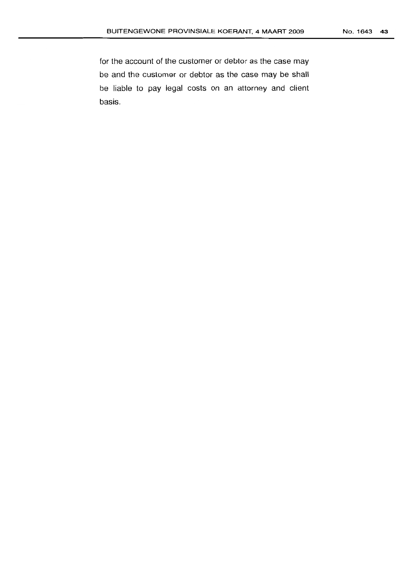for the account of the customer or debtor as the case may be and the customer or debtor as the case may be shall be liable to pay legal costs on an attorney and client basis.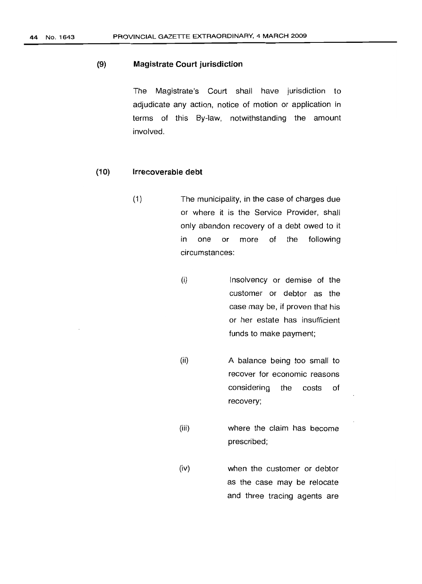## (9) Magistrate Court jurisdiction

The Magistrate's Court shall have jurisdiction to adjudicate any action, notice of motion or application in terms of this By-law, notwithstanding the amount involved.

## (10) Irrecoverable debt

- (1 ) The municipality, in the case of charges due or where it is the Service Provider, shall only abandon recovery of a debt owed to it in one or more of the following circumstances:
	- (i) Insolvency or demise of the customer or debtor as the case may be, if proven that his or her estate has insufficient funds to make payment;
		- (ii) A balance being too small to recover for economic reasons considering the costs of recovery;
	- (iii) where the claim has become prescribed;
	- (iv) when the customer or debtor as the case may be relocate and three tracing agents are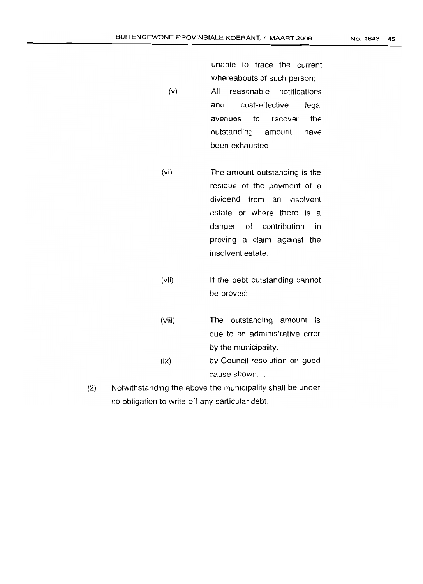NO.1643 **45**

unable to trace the current whereabouts of such person; (v) All reasonable notifications and cost-effective legal avenues to recover the outstandinq amount have

(vi) The amount outstanding is the residue of the payment of a dividend from an insolvent estate or where there is a danger of contribution in proving a claim against the insolvent estate.

been exhausted.

- (vii) If the debt outstanding cannot be proved;
- (viii) The outstanding amount is due to an administrative error by the municipality. (ix) by Council resolution on good cause shown. .
- (2) Notwithstanding the above the municipality shall be under no obligation to write off any particular debt.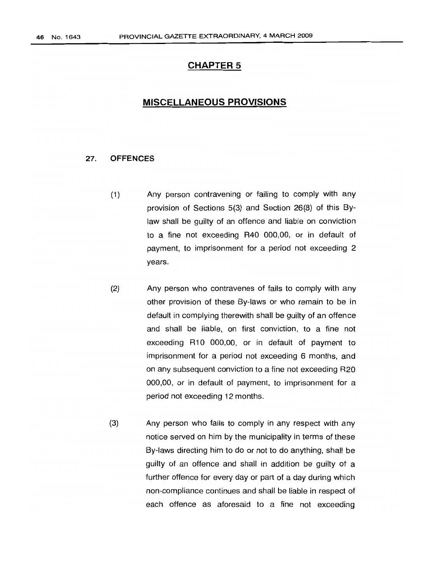# **CHAPTER 5**

# **MISCELLANEOUS PROVISIONS**

## 27. **OFFENCES**

- (1) Any person contravening or failing to comply with any provision of Sections 5(3) and Section 26(8) of this Bylaw shall be guilty of an offence and liable on conviction to a fine not exceeding R40 000,00, or in default of payment, to imprisonment for a period not exceeding 2 years.
- (2) Any person who contravenes of fails to comply with any other provision of these By-laws or who remain to be in default in complying therewith shall be guilty of an offence and shall be liable, on first conviction, to a fine not exceeding R10 000,00, or in default of payment to imprisonment for a period not exceeding 6 months, and on any subsequent conviction to a fine not exceeding R20 000,00, or in default of payment, to imprisonment for a period not exceeding 12 months.
- (3) Any person who fails to comply in any respect with any notice served on him by the municipality in terms of these By-laws directing him to do or not to do anything, shall be guilty of an offence and shall in addition be guilty of a further offence for every day or part of a day during which non-compliance continues and shall be liable in respect of each offence as aforesaid to a fine not exceeding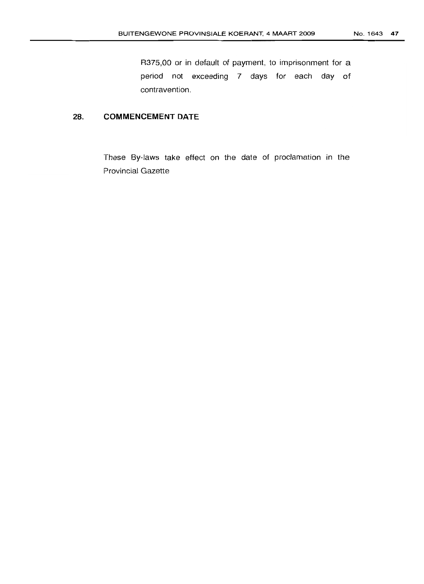R375,OO or in default of payment, to imprisonment for a period not exceeding 7 days for each day of contravention.

# 28. **COMMENCEMENT DATE**

These By-laws take effect on the date of proclamation in the Provincial Gazette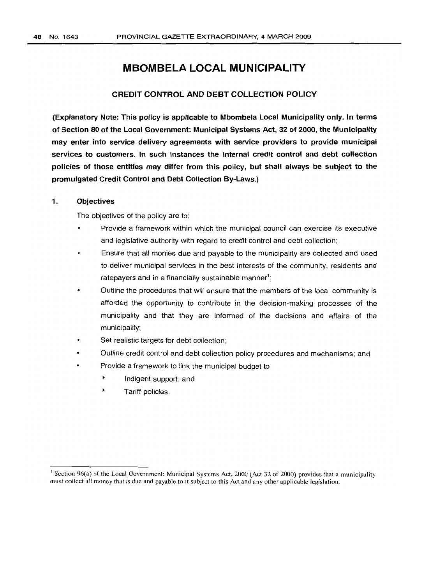# **MBOMBELA LOCAL MUNICIPALITY**

## CREDIT CONTROL AND DEBT COLLECTION POLICY

(Explanatory Note: This policy is applicable to Mbombela Local Municipality only. In terms of Section 80 of the Local Government: Municipal Systems Act, 32 of 2000, the Municipality may enter into service delivery agreements with service providers to provide municipal services to customers. In such instances the internal credit control and debt collection policies of those entities may differ from this policy, but shall always be subject to the promulgated Credit Control and Debt Collection By-Laws.)

## 1. Objectives

The objectives of the policy are to:

- Provide a framework within which the municipal council can exercise its executive and legislative authority with regard to credit control and debt collection;
- Ensure that all monies due and payable to the municipality are collected and used to deliver municipal services in the best interests of the community, residents and ratepayers and in a financially sustainable manner $^1;$
- Outline the procedures that will ensure that the members of the local community is afforded the opportunity to contribute in the decision-making processes of the municipality and that they are informed of the decisions and affairs of the municipality;
- Set realistic targets for debt collection;
- Outline credit control and debt collection policy procedures and mechanisms; and
- Provide a framework to link the municipal budget to
	- $\blacktriangleright$ Indigent support; and
	- Tariff policies.

<sup>&</sup>lt;sup>1</sup> Section 96(a) of the Local Government: Municipal Systems Act, 2000 (Act 32 of 2000) provides that a municipality must collect all money that is due and payable to it subject to this Act and any other applicable legislation.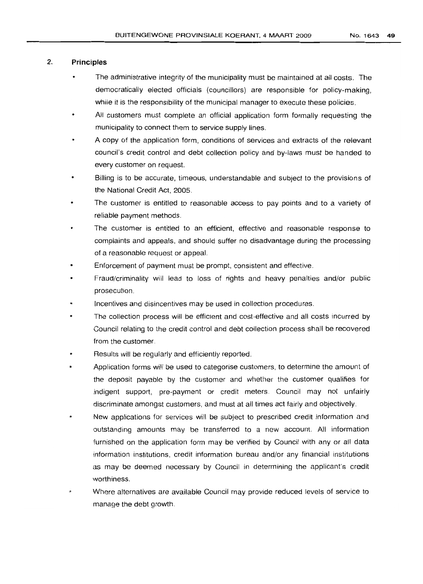## 2. Principles

- The administrative integrity of the municipality must be maintained at all costs. The democratically elected officials (councillors) are responsible for policy-making, while it is the responsibility of the municipal manager to execute these policies.
- All customers must complete an official application form formally requesting the municipality to connect them to service supply lines.
- A copy of the application form, conditions of services and extracts of the relevant council's credit control and debt collection policy and by-laws must be handed to every customer on request.
- Billing is to be accurate, timeous, understandable and subject to the provisions of the National Credit Act, 2005.
- The customer is entitled to reasonable access to pay points and to a variety of reliable payment methods.
- The customer is entitled to an efficient, effective and reasonable response to complaints and appeals, and should suffer no disadvantage during the processing of a reasonable request or appeal.
- Enforcement of payment must be prompt, consistent and effective.
- Fraud/criminality will lead to loss of rights and heavy penalties and/or public prosecution.
- Incentives and disincentives may be used in collection procedures.
- The collection process will be efficient and cost-effective and all costs incurred by Council relating to the credit control and debt collection process shall be recovered from the customer.
- Results will be regularly and efficiently reported.
- Application forms will be used to categorise customers, to determine the amount of the deposit payable by the customer and whether the customer qualifies for indigent support, pre-payment or credit meters. Council may not unfairly discriminate amongst customers, and must at all times act fairly and objectively.
- New applications for services will be subject to prescribed credit information and outstanding amounts may be transferred to a new account. All information 'furnished on the application form may be verified by Council with any or all data information institutions, credit information bureau and/or any financial institutions as may be deemed necessary by Council in determining the applicant's credit worthiness.
- Where alternatives are available Council may provide reduced levels of service to manage the debt growth.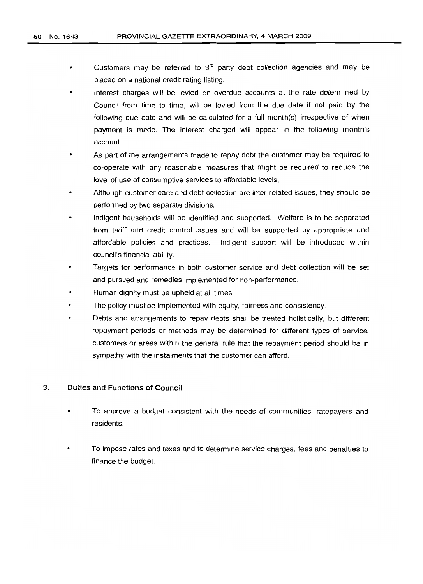- Customers may be referred to  $3<sup>rd</sup>$  party debt collection agencies and may be  $\bullet$ placed on a national credit rating listing.
- Interest charges will be levied on overdue accounts at the rate determined by Council from time to time, will be levied from the due date if not paid by the following due date and will be calculated for a full month(s) irrespective of when payment is made. The interest charged will appear in the following month's account.
- As part of the arrangements made to repay debt the customer may be required to co-operate with any reasonable measures that might be required to reduce the level of use of consumptive services to affordable levels.
- A/though customer care and debt collection are inter-related issues, they should be performed by two separate divisions.
- Indigent households will be identified and supported. Welfare is to be separated from tariff and credit control issues and will be supported by appropriate and affordable policies and practices. Indigent support will be introduced within council's financial ability.
- Targets for performance in both customer service and debt collection will be set and pursued and remedies implemented for non-performance.
- Human dignity must be upheld at all times.
- The policy must be implemented with equity, fairness and consistency.
- Debts and arrangements to repay debts shall be treated holistically, but different repayment periods or methods may be determined for different types of service, customers or areas within the general rule that the repayment period should be in sympathy with the instalments that the customer can afford.

### 3. Duties and Functions of Council

- To approve a budget consistent with the needs of communities, ratepayers and residents.
- To impose rates and taxes and to determine service charges, fees and penalties to finance the budqet.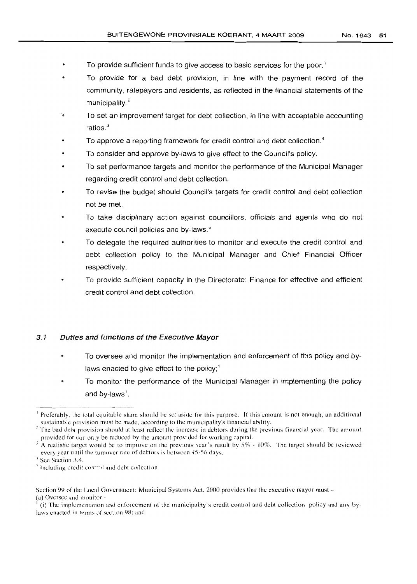- To provide sufficient funds to give access to basic services for the poor.<sup>1</sup>
- To provide for a bad debt provision, in line with the payment record of the community, ratepayers and residents, as reflected in the financial statements of the municipality. $2$
- -. **To set an improvement target for debt collection, in line with acceptable accounting** ratios.<sup>3</sup>
- To approve a reporting framework for credit control and debt collection.<sup>4</sup>
- To consider and approve by-laws to give effect to the Council's policy.
- To set performance targets and monitor the performance of the Municipal Manager regarding credit control and debt collection.
- To revise the budget should Council's targets for credit control and debt collection not be met.
- To take disciplinary action against councillors, officials and agents who do not execute council policies and by-laws.<sup>5</sup>
- To delegate the required authorities to monitor and execute the credit control and debt collection policy to the Municipal Manager and Chief Financial Officer respectively.
- To provide sufficient capacity in the Directorate: Finance for effective and efficient credit control and debt collection.

## 3.1 Duties and functions of the Executive Mayor

- To oversee and monitor the implementation and enforcement of this policy and bylaws enacted to give effect to the policy; $<sup>1</sup>$ </sup>
- To monitor the performance of the Municipal Manager in implementing the policy and by-laws $^{\prime}$ .

<sup>&</sup>lt;sup>1</sup> Preferably, the total equitable share should be set aside for this purpose. If this amount is not enough, an additional sustainable provision must be made, according to the municipality's financial ability.

<sup>&</sup>lt;sup>2</sup> The bad debt provision should at least reflect the increase in debtors during the previous financial year. The amount provided for can only be reduced by the amount provided for working capital.

A realistic target would be to improve on the previous year's result by  $5\%$  - 10%. The target should be reviewed every year until the turnover rate of debtors is between 45-56 days.

See Section 3.4.

Including credit control and debt collection

Section 99 of the Local Government: Municipal Systems Act. 2000 provides that the executive mayor must- (a) Oversee and monitor -

<sup>I</sup> (i) The implementation and enforcement of the municipality's credit control and debt collection policy and any bylaws enacted in terms of section 98: and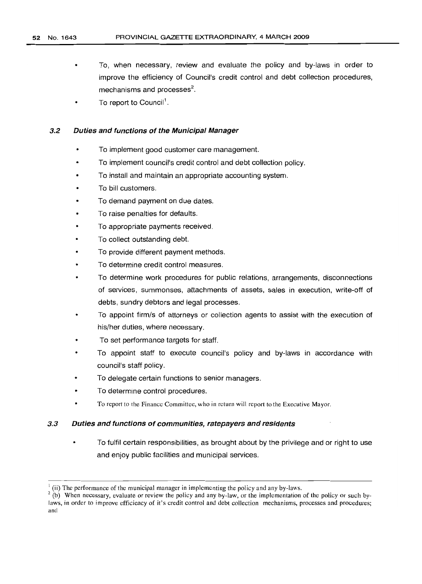- To, when necessary, review and evaluate the policy and by-laws in order to improve the efficiency of Council's credit control and debt collection procedures, mechanisms and processes<sup>2</sup>.
- To report to Council'.

## 3.2 Duties and functions of the Municipal Manager

- To implement good customer care management.
- To implement council's credit control and debt collection policy.
- To install and maintain an appropriate accounting system.
- To bill customers.
- To demand payment on due dates.
- To raise penalties for defaults.
- To appropriate payments received.
- To collect outstanding debt.
- To provide different payment methods.
- To determine credit control measures.
- To determine work procedures for public relations, arrangements, disconnections of services, summonses, attachments of assets, sales in execution, write-off of debts, sundry debtors and legal processes.
- To appoint firm/s of attorneys or collection agents to assist with the execution of his/her duties, where necessary.
- To set performance targets for staff.
- To appoint staff to execute council's policy and by-laws in accordance with council's staff policy.
- To delegate certain functions to senior managers.
- To determine control procedures.
- To report to the Finance Committee, who in return will report to the Executive Mayor.

## 3.3 Duties and functions of communities, ratepayers and residents

To fulfil certain responsibilities, as brought about by the privilege and or right to use and enjoy public facilities and municipal services.

 $2$  (b) When necessary, evaluate or review the policy and any by-law, or the implementation of the policy or such bylaws, in order to improve efficiency of it's credit control and debt collection mechanisms, processes and procedures; and

 $<sup>1</sup>$  (ii) The performance of the municipal manager in implementing the policy and any by-laws.</sup>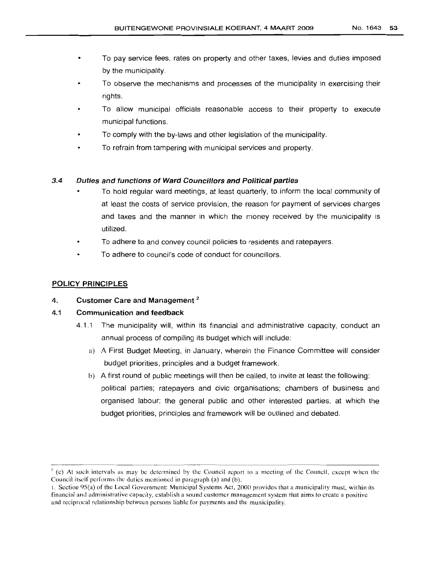- To pay service fees, rates on property and other taxes, levies and duties imposed by the municipality.
- To observe the mechanisms and processes of the municipality in exercising their rights.
- To allow municipal officials reasonable access to their property to execute municipal functions.
- To comply with the by-laws and other legislation of the municipality.
- To refrain from tampering with municipal services and property.

## 3.4 Duties and functions of Ward Councillors and Political parties

- To hold regular ward meetings, at least quarterly, to inform the local community of at least the costs of service provision, the reason for payment of services charges and taxes and the manner in which the money received by the municipality is utilized.
- To adhere to and convey council policies to residents and ratepayers.
- To adhere to council's code of conduct for councillors.

## POLICY PRINCIPLES

## 4. Customer Care and Management<sup>2</sup>

## 4.1 Communication and feedback

- 4.1.1 The municipality will, within its financial and administrative capacity, conduct an annual process of compiling its budget which will include:
	- a) A First Budget Meeting, in January, wherein the Finance Committee will consider budget priorities, principles and a budget framework.
	- b) A first round of public meetings will then be called, to invite at least the following: political parties; ratepayers and civic organisations; chambers of business and organised labour; the general public and other interested parties, at which the budget priorities, principles and framework will be outlined and debated.

 $J$  (c) At such intervals as may be determined by the Council report to a meeting of the Council, except when the Council itself performs the duties mentioned in paragraph (a) and (b).

<sup>1.</sup> Section 95(a) of the Local Government: Municipal Systems Act, 2000 provides that a municipality must, within its financial and administrative capacity, establish a sound customer management system that aims to create a positive and reciprocal relationship between persons liable for payments and the municipality.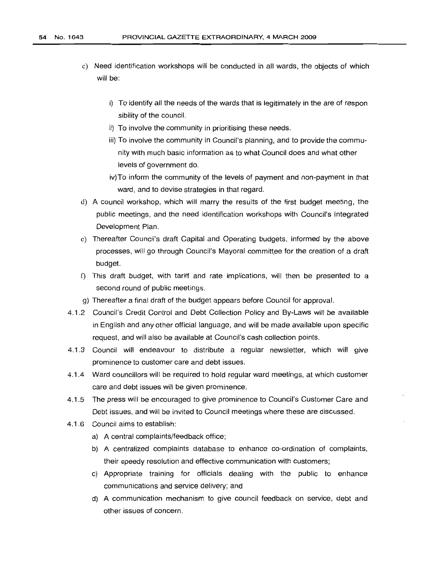- c) Need identification workshops will be conducted in all wards, the objects of which will be:
	- i) To identify all the needs of the wards that is legitimately in the are of respon sibility of the council.
	- ii) To involve the community in prioritising these needs.
	- iii) To involve the community in Council's planning, and to provide the community with much basic information as to what Council does and what other levels of government do.
	- iV)To inform the community of the levels of payment and non-payment in that ward, and to devise strategies in that regard.
- d) A council workshop, which will marry the results of the first budget meeting, the public meetings, and the need identification workshops with Council's Integrated Development Plan.
- e) Thereafter Council's draft Capital and Operating budgets, informed by the above processes, will go through Council's Mayoral committee for the creation of a draft bUdget.
- f) This draft budget, with tariff and rate implications, will then be presented to a second round of public meetings.
- g) Thereafter a final draft of the budget appears before Council for approval.
- 4.1.2 Council's Credit Control and Debt Collection Policy and By-Laws will be available in English and any other official language, and will be made available upon specific request, and will also be available at Council's cash collection points.
- 4.1.3 Council will endeavour to distribute a regular newsletter, which will give prominence to customer care and debt issues.
- 4.1.4 Ward councillors will be required to hold regular ward meetings, at which customer care and debt issues will be given prominence.
- 4.1.5 The press will be encouraged to give prominence to Council's Customer Care and Debt issues, and will be invited to Council meetings where these are discussed.
- 4.1.6 Council aims to establish:
	- a) A central complaints/feedback office;
	- b) A centralized complaints database to enhance co-ordination of complaints, their speedy resolution and effective communication with customers;
	- c) Appropriate training for officials dealing with the public to enhance communications and service delivery; and
	- d) A communication mechanism to give council feedback on service, debt and other issues of concern.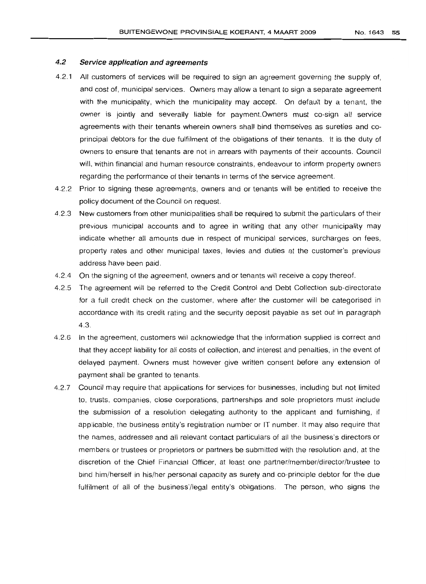#### 4.2 Service application and agreements

- 4.2.1 All customers of services will be required to sign an agreement governing the supply of, and cost of, municipal services. Owners may allow a tenant to sign a separate agreement with the municipality, which the municipality may accept. On default by a tenant, the owner is jointly and severally liable for payment.Owners must co-sign all service agreements with their tenants wherein owners shall bind themselves as sureties and coprincipal debtors for the due fulfilment of the obligations of their tenants. It is the duty of owners to ensure that tenants are not in arrears with payments of their accounts. Council will, within financial and human resource constraints, endeavour to inform property owners regarding the performance of their tenants in terms of the service agreement.
- 4.2.2 Prior to signing these agreements, owners and or tenants will be entitled to receive the policy document of the Council on request.
- 4.2.3 New customers from other municipalities shall be required to submit the particulars of their previous municipal accounts and to agree in writing that any other municipality may indicate whether all amounts due in respect of municipal services, surcharges on fees, property rates and other municipal taxes, levies and duties at the customer's previous address have been paid.
- 4.2.4 On the signing of the agreement, owners and or tenants will receive a copy thereof.
- 4.2.5 The agreement will be referred to the Credit Control and Debt Collection sub-directorate for a full credit check on the customer, where after the customer will be categorised in accordance with its credit rating and the security deposit payable as set out in paragraph 4.3.
- 4.2.6 In the agreement, customers will acknowledge that the information supplied is correct and that they accept liability for all costs of collection, and interest and penalties, in the event of delayed payment. Owners must however give written consent before any extension of payment shall be granted to tenants.
- 4.2.7 Council may require that applications for services for businesses, including but not limited to, trusts, companies, close corporations, partnerships and sole proprietors must include the submission of a resolution delegating authority to the applicant and furnishing, if applicable, the business entity's registration number or IT number. It may also require that the names, addresses and ail relevant contact particulars of all the business's directors or members or trustees or proprietors or partners be submitted with the resolution and, at the discretion of the Chief Financial Officer, at least one partner/member/director/trustee to bincl him/herself in his/her personal capacity as surety and co-principle debtor for the due fulfilment of all of the business'/Iegal entity's obligations. The person, who signs the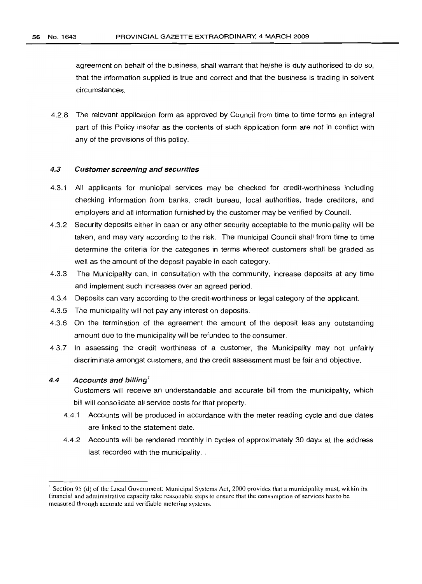agreement on behalf of the business, shall warrant that he/she is duly authorised to do so, that the information supplied is true and correct and that the business is trading in solvent circumstances.

4.2.8 The relevant application form as approved by Council from time to time forms an integral part of this Policy insofar as the contents of such application form are not in conflict with any of the provisions of this policy.

### 4.3 Customer screening and securities

- 4.3.1 All applicants for municipal services may be checked for credit-worthiness including checking information from banks, credit bureau, local authorities, trade creditors, and employers and all information furnished by the customer may be verified by Council.
- 4.3.2 Security deposits either in cash or any other security acceptable to the municipality will be taken, and may vary according to the risk. The municipal Council shall from time to time determine the criteria for the categories in terms whereof customers shall be graded as well as the amount of the deposit payable in each category.
- 4.3.3 The Municipality can, in consultation with the community, increase deposits at any time and implement such increases over an agreed period.
- 4.3.4 Deposits can vary according to the credit-worthiness or legal category of the applicant.
- 4.3.5 The municipality will not pay any interest on deposits.
- 4.3.6 On the termination of the agreement the amount of the deposit less any outstanding amount due to the municipality will be refunded to the consumer.
- 4.3.7 In assessing the credit worthiness of a customer, the Municipality may not unfairly discriminate amongst customers, and the credit assessment must be fair and objective.

## 4.4 Accounts and billing*<sup>1</sup>*

Customers will receive an understandable and accurate bill from the municipality, which bill will consolidate all service costs for that property.

- 4.4.1 Accounts will be produced in accordance with the meter reading cycle and due dates are linked to the statement date.
- 4.4.2 Accounts will be rendered monthly in cycles of approximately 30 days at the address last recorded with the municipality...

<sup>&</sup>lt;sup>1</sup> Section 95 (d) of the Local Government: Municipal Systems Act, 2000 provides that a municipality must, within its financial and administrative capacity take reasonable steps to ensure that the consumption of services has to be measured through accurate and verifiable metering systems.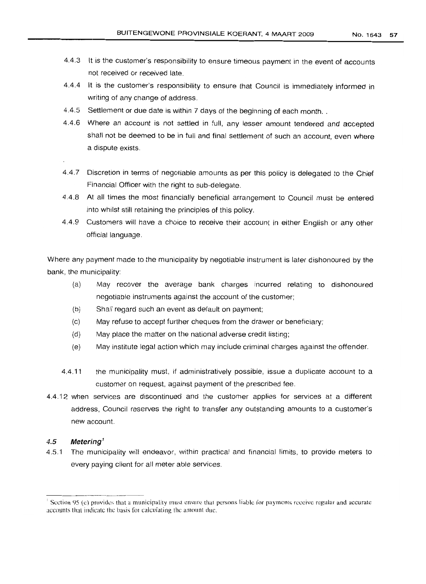- 4.4.3 It is the customer's responsibility to ensure timeous payment in the event of accounts not received or received late.
- 4.4.4 It is the customer's responsibility to ensure that Council is immediately informed in writing of any change of address.
- 4.4.5 Settlement or due date is within 7 days of the beginning of each month..
- 4.4.6 Where an account is not settled in full, any lesser amount tendered and accepted shall not be deemed to be in full and final settlement of such an account, even where a dispute exists.
- 4.4.7 Discretion in terms of negotiable amounts as per this policy is delegated to the Chief Financial Officer with the right to sub-delegate.
- 4.4.8 At all times the most financially beneficial arrangement to Council must be entered into whilst still retaining the principles of this policy.
- 4.4.9 Customers will have a choice to receive their account in either English or any other official language.

Where any payment made to the municipality by negotiable instrument is later dishonoured by the bank, the municipality:

- (a) May recover the average bank charges incurred relating to dishonoured negotiable instruments against the account of the customer;
- (b) Shall regard such an event as default on payment;
- (c) May refuse to accept further cheques from the drawer or beneficiary;
- (d) May place the matter on the national adverse credit listing;
- (e) May institute legal action which may include criminal charges against the offender.
- 4.4.11 the municipality must, if administratively possible, issue a duplicate account to a customer on request, against payment of the prescribed fee.
- 4.4.12 when services are discontinued and the customer applies for services at a different address, Council reserves the right to transfer any outstanding amounts to a customer's new account.

### 4.5 Metering!

4.5.1 The municipality will endeavor, within practical and financial limits, to provide meters to every paying client for all meter able services.

Section 95 (c) provides that a municipality must ensure that persons liable for payments receive regular and accurate accounts that indicate the basis for calculating the amount due.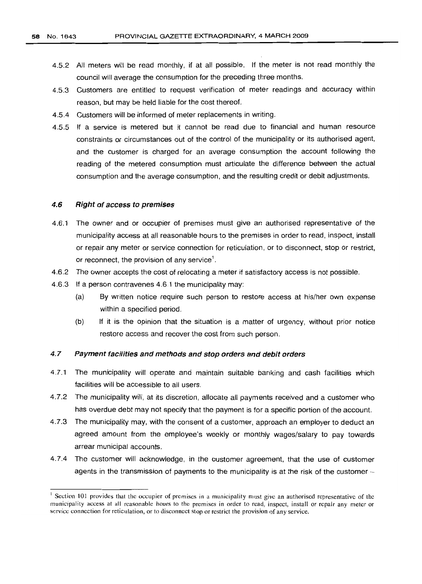- 4.5.2 All meters will be read monthly, if at all possible. If the meter is not read monthly the council will average the consumption for the preceding three months.
- 4.5.3 Customers are entitled to request verification of meter readings and accuracy within reason, but may be held liable for the cost thereof.
- 4.5.4 Customers will be informed of meter replacements in writing.
- 4.5.5 If a service is metered but it cannot be read due to financial and human resource constraints or circumstances out of the control of the municipality or its authorised agent, and the customer is charged for an average consumption the account following the reading of the metered consumption must articulate the difference between the actual consumption and the average consumption, and the resulting credit or debit adjustments.

#### 4.6 Right of access to premises

- 4.6.1 The owner and or occupier of premises must give an authorised representative of the municipality access at all reasonable hours to the premises in order to read, inspect, install or repair any meter or service connection for reticulation, or to disconnect, stop or restrict, or reconnect, the provision of any service $<sup>1</sup>$ .</sup>
- 4.6.2 The owner accepts the cost of relocating a meter if satisfactory access is not possible.
- 4.6.3 If a person contravenes 4.6.1 the municipality may:
	- (a) By written notice require such person to restore access at his/her own expense within a specified period.
	- (b) If it is the opinion that the situation is a matter of urgency, without prior notice restore access and recover the cost from such person.

#### 4.7 Payment facilities and methods and stop orders and debit orders

- 4.7.1 The municipality will operate and maintain suitable banking and cash facilities which facilities will be accessible to all users.
- 4.7.2 The municipality will, at its discretion, allocate all payments received and a customer who has overdue debt may not specify that the payment is for a specific portion of the account.
- 4.7.3 The municipality may, with the consent of a customer, approach an employer to deduct an agreed amount from the employee's weekly or monthly wages/salary to pay towards arrear municipal accounts.
- 4.7.4 The customer will acknowledge, in the customer agreement, that the use of customer agents in the transmission of payments to the municipality is at the risk of the customer-

<sup>&</sup>lt;sup>1</sup> Section 101 provides that the occupier of premises in a municipality must give an authorised representative of the municipality access at all reasonable hours to the premises in order to read, inspect, install or repair any meter or service connection for reticulation, or to disconnect stop or restrict the provision of any service.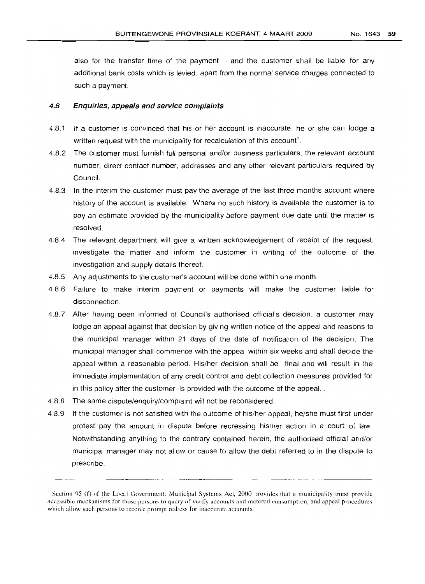also for the transfer time of the payment  $-$  and the customer shall be liable for any additional bank costs which is levied, apart from the normal service charges connected to such a payment.

#### 4.8 Enquiries, appeals and service complaints

- 4.8.1 If a customer is convinced that his or her account is inaccurate, he or she can lodge a written request with the municipality for recalculation of this account<sup>1</sup>.
- 4.8.2 The customer must furnish full personal and/or business particulars, the relevant account number, direct contact number, addresses and any other relevant particulars required by Council.
- 4.8.3 In the interim the customer must pay the average of the last three months account where history of the account is available. Where no such history is available the customer is to pay an estimate provided by the municipality before payment due date until the matter is resolved.
- 4.8.4 The relevant department will give a written acknowledgement of receipt of the request, investigate the matter and inform the customer in writing of the outcome of the investigation and supply details thereof.
- 4.8.5 Any adjustments to the customer's account will be done within one month.
- 48.6 Failure to make interim payment or payments will make the customer liable for disconnection.
- 4.8.7 After having been informed of Council's authorised official's decision, a customer may lodge an appeal against that decision by giving written notice of the appeal and reasons to the municipal manager within 21 days of the date of notification of the decision. The municipal manager shall commence with the appeal within six weeks and shall decide the appeal within a reasonable period. His/her decision shall be final and will result in the immediate implementation of any credit control and debt collection measures provided for in this policy after the customer is provided with the outcome of the appeal..
- 4.8.8 The same dispute/enquiry/complaint will not be reconsidered.
- 4.8.9 If the customer is not satisfied with the outcome of his/her appeal, he/she must first under protest pay the amount in dispute before redressing his/her action in a court of law. Notwithstanding anything to the contrary contained herein, the authorised official and/or municipal manager may not allow or cause to allow the debt referred to in the dispute to prescribe.

<sup>&</sup>lt;sup>1</sup> Section 95 (f) of the Local Government: Municipal Systems Act, 2000 provides that a municipality must provide accessible mechanisms for those persons to query of verify accounts and metered consumption, and appeal procedures which allow such persons to receive prompt redress for inaccurate accounts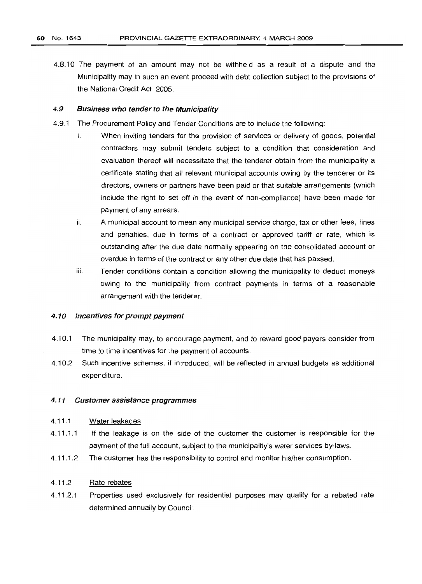4.8.10 The payment of an amount may not be withheld as a result of a dispute and the Municipality may in such an event proceed with debt collection subject to the provisions of the National Credit Act, 2005.

### 4.9 Business who tender to the Municipality

- 4.9.1 The Procurement Policy and Tender Conditions are to include the following:
	- i. When inviting tenders for the provision of services or delivery of goods, potential contractors may submit tenders subject to a condition that consideration and evaluation thereof will necessitate that the tenderer obtain from the municipality a certificate stating that all relevant municipal accounts owing by the tenderer or its directors, owners or partners have been paid or that suitable arrangements (which include the right to set off in the event of non-compliance) have been made for payment of any arrears.
	- ii. A municipal account to mean any municipal service charge, tax or other fees, fines and penalties, due in terms of a contract or approved tariff or rate, which is outstanding after the due date normally appearing on the consolidated account or overdue in terms of the contract or any other due date that has passed.
	- iii. Tender conditions contain a condition allowing the municipality to deduct moneys owing to the municipality from contract payments in terms of a reasonable arrangement with the tenderer.

### 4.10 Incentives for prompt payment

- 4.10.1 The municipality may, to encourage payment, and to reward good payers consider from time to time incentives for the payment of accounts.
- 4.10.2 Such incentive schemes, if introduced, will be reflected in annual budgets as additional expenditure.

### 4.11 Customer assistance programmes

#### 4.11.1 Water leakages

- 4.11.1.1 If the leakage is on the side of the customer the customer is responsible for the payment of the full account, subject to the municipality's water services by-laws.
- 4.11.1.2 The customer has the responsibility to control and monitor his/her consumption.

#### 4.11.2 Rate rebates

4.11.2.1 Properties used exclusively for residential purposes may qualify for a rebated rate determined annually by Council.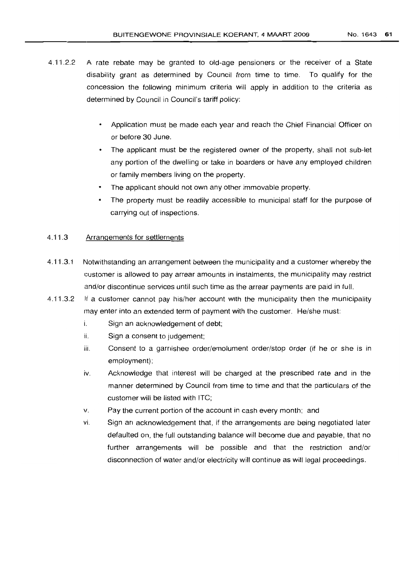- 4.11.2.2 A rate rebate may be granted to old-age pensioners or the receiver of a State disability grant as determined by Council from time to time. To qualify for the concession the following minimum criteria will apply in addition to the criteria as determined by Council in Council's tariff policy:
	- Application must be made each year and reach the Chief Financial Officer on or before 30 June.
	- The applicant must be the registered owner of the property, shall not sub-let any portion of the dwelling or take in boarders or have any employed children or family members living on the property.
	- The applicant should not own any other immovable property.
	- The property must be readily accessible to municipal staff for the purpose of  $\bullet$ carrying out of inspections.

## 4.11.3 Arrangements for settlements

- 4.11.3.1 Notwithstanding an arrangement between the municipality and a customer whereby the customer is allowed to pay arrear amounts in instalments, the municipality may restrict and/or discontinue services until such time as the arrear payments are paid in full.
- 4.11.3.2 If a customer cannot pay his/her account with the municipality then the municipality may enter into an extended term of payment with the customer. He/she must:
	- i. Sign an acknowledgement of debt;
	- ii. Sign a consent to judgement;
	- iii. Consent to a garnishee order/emolument order/stop order (if he or she is in employment);
	- iv. Acknowledge that interest will be charged at the prescribed rate and in the manner determined by Council from time to time and that the particulars of the customer will be listed with ITC;
	- v. Pay the current portion of the account in cash every month; and
	- vi. Sign an acknowledgement that, if the arrangements are being negotiated later defaulted on, the full outstanding balance will become due and payable, that no further arrangements will be possible and that the restriction and/or disconnection of water and/or electricity will continue as will legal proceedings.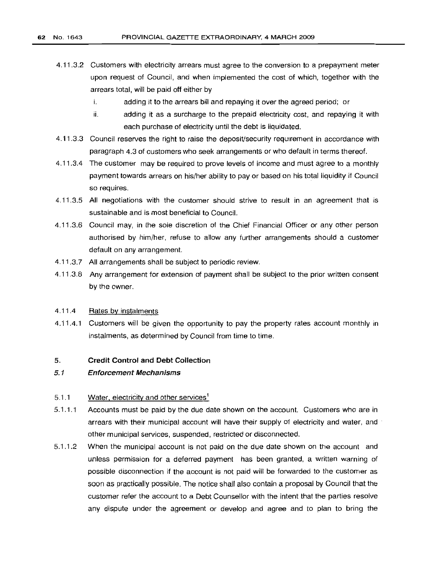- 4.11.3.2 Customers with electricity arrears must agree to the conversion to a prepayment meter upon request of Council, and when implemented the cost of which, together with the arrears total, will be paid off either by
	- i. adding it to the arrears bill and repaying it over the agreed period; or
	- ii. adding it as a surcharge to the prepaid electricity cost, and repaying it with each purchase of electricity until the debt is liquidated.
- 4.11.3.3 Council reserves the right to raise the deposit/security requirement in accordance with paragraph 4.3 of customers who seek arrangements or who default in terms thereof.
- 4.11.3.4 The customer may be required to prove levels of income and must agree to a monthly payment towards arrears on his/her ability to payor based on his total liquidity if Council so requires.
- 4.11.3.5 All negotiations with the customer should strive to result in an agreement that is sustainable and is most beneficial to Council.
- 4.11.3.6 Council may, in the sole discretion of the Chief Financial Officer or any other person authorised by him/her, refuse to allow any further arrangements should a customer default on any arrangement.
- 4.11.3.7 All arrangements shall be subject to periodic review.
- 4.11.3.8 Any arrangement for extension of payment shall be subject to the prior written consent by the owner.

#### 4.11.4 Rates by instalments

4.11.4.1 Customers will be given the opportunity to pay the property rates account monthly in instalments, as determined by Council from time to time.

#### 5. Credit Control and Debt Collection

#### 5.1 Enforcement Mechanisms

#### 5.1.1 Water, electricity and other services<sup>1</sup>

- 5.1.1.1 Accounts must be paid by the due date shown on the account. Customers who are in arrears with their municipal account will have their supply of electricity and water, and' other municipal services, suspended, restricted or disconnected.
- 5.1.1.2 When the municipal account is not paid on the due date shown on the account and unless permission for a deferred payment has been granted, a written warning of possible disconnection if the account is not paid will be forwarded to the customer as soon as practically possible. The notice shall also contain a proposal by Council that the customer refer the account to a Debt Counsellor with the intent that the parties resolve any dispute under the agreement or develop and agree and to plan to bring the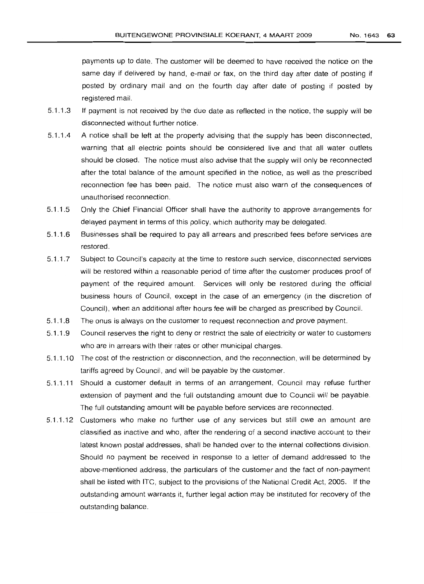payments up to date. The customer will be deemed to have received the notice on the same day if delivered by hand, e-mail or fax, on the third day after date of posting if posted by ordinary mail and on the fourth day after date of posting if posted by registered mail.

- 5.1.1.3 If payment is not received by the due date as reflected in the notice, the supply will be disconnected without further notice.
- 5.1.1.4 A notice shall be left at the property advising that the supply has been disconnected, warning that all electric points should be considered live and that all water outlets should be closed. The notice must also advise that the supply will only be reconnected after the total balance of the amount specified in the notice, as well as the prescribed reconnection fee has been paid. The notice must also warn of the consequences of unauthorised reconnection.
- 5.1.1.5 Only the Chief Financial Officer shall have the authority to approve arrangements for delayed payment in terms of this policy, which authority may be delegated.
- 5.1.1.6 Businesses shall be required to pay all arrears and prescribed fees before services are restored.
- 5.1.1.7 Subject to Council's capacity at the time to restore such service, disconnected services will be restored within a reasonable period of time after the customer produces proof of payment of the required amount. Services will only be restored during the official business hours of Council, except in the case of an emergency (in the discretion of Council), when an additional after hours fee will be charged as prescribed by Council.
- 5.1.1.8 The onus is always on the customer to request reconnection and prove payment.
- 5.1.1.9 Council reserves the right to deny or restrict the sale of electricity or water to customers who are in arrears with their rates or other municipal charges.
- 5.1.1.10 The cost of the restriction or disconnection, and the reconnection, will be determined by tariffs agreed by Council, and will be payable by the customer.
- 5.1 .1.11 Should a customer default in terms of an arranqernent, Council may refuse further extension of payment and the full outstanding amount due to Council will be payable. The full outstanding amount will be payable before services are reconnected.
- 5.1.1.12 Customers who make no further use of any services but still owe an amount are classified as inactive and who, after the rendering of a second inactive account to their latest known postal addresses, shall be handed over to the internal collections division. Should no payment be received in response to a letter of demand addressed to the above-mentioned address, the particulars of the customer and the fact of non-payment shall be listed with lTC, subject to the provisions of the National Credit Act, 2005. If the outstanding amount warrants it, further legal action may be instituted for recovery of the outstanding balance.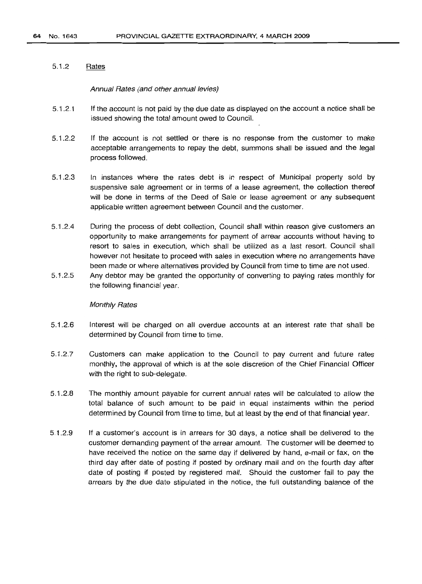### 5.1.2 Rates

### Annual Rates (and other annual levies)

- 5.1.2.1 If the account is not paid by the due date as displayed on the account a notice shall be issued showing the total amount owed to Council.
- 5.1.2.2 If the account is not settled or there is no response from the customer to make acceptable arrangements to repay the debt, summons shall be issued and the legal process followed.
- 5.1.2.3 In instances where the rates debt is in respect of Municipal property sold by suspensive sale agreement or in terms of a lease agreement, the collection thereof will be done in terms of the Deed of Sale or lease agreement or any subsequent applicable written agreement between Council and the customer.
- 5.1.2.4 During the process of debt collection, Council shall within reason give customers an opportunity to make arrangements for payment of arrear accounts without having to resort to sales in execution, which shall be utilized as a last resort. Council shall however not hesitate to proceed with sales in execution where no arrangements have been made or where alternatives provided by Council from time to time are not used.
- 5.1.2.5 Any debtor may be granted the opportunity of converting to paying rates monthly for the following financial year.

### Monthly Rates

- 5.1.2.6 Interest will be charged on all overdue accounts at an interest rate that shall be determined by Council from time to time.
- 5.1.2.7 Customers can make application to the Council to pay current and future rates monthly, the approval of which is at the sole discretion of the Chief Financial Officer with the right to sub-delegate.
- 5.1.2.8 The monthly amount payable for current annual rates will be calculated to allow the total balance of such amount to be paid in equal instalments within the period determined by Council from time to time, but at least by the end of that financial year.
- 5.1.2.9 If a customer's account is in arrears for 30 days, a notice shall be delivered to the customer demanding payment of the arrear amount. The customer will be deemed to have received the notice on the same day if delivered by hand, e-mail or fax, on the third day after date of posting if posted by ordinary mail and on the fourth day after date of posting if posted by registered mail. Should the customer fail to pay the arrears by the due date stipulated in the notice, the full outstanding balance of the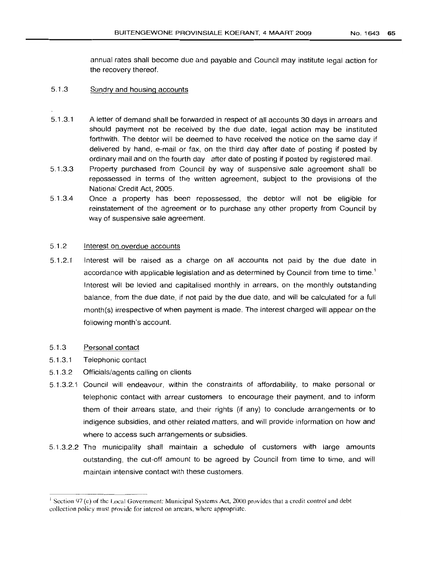annual rates shall become due and payable and Council may institute legal action for the recovery thereof.

## 5.1.3 Sundry and housing accounts

- 5.1.3.1 A letter of demand shall be forwarded in respect of all accounts 30 days in arrears and should payment not be received by the due date, legal action may be instituted forthwith. The debtor will be deemed to have received the notice on the same day if delivered by hand, e-mail or fax, on the third day after date of posting if posted by ordinary mail and on the fourth day after date of posting if posted by registered mail.
- 5.1.3.3 Property purchased from Council by way of suspensive sale agreement shall be repossessed in terms of the written agreement, subject to the provisions of the National Credit Act, 2005.
- 5.1.3.4 Once a property has been repossessed, the debtor will not be eligible for reinstatement of the agreement or to purchase any other property from Council by way of suspensive sale agreement.

## 5.1.2 Interest on overdue accounts

5.1.2.1 Interest will be raised as a charge on all accounts not paid by the due date in accordance with applicable legislation and as determined by Council from time to time.' Interest will be levied and capitalised monthly in arrears, on the monthly outstanding balance, from the due date, if not paid by the due date, and will be calculated for a full month(s) irrespective of when payment is made. The interest charged will appear on the following month's account.

#### 5.1.3 Personal contact

- 5.1.3.1 Telephonic contact
- 5.1.3.2 Officials/agents calling on clients
- 5.1.3.2.1 Council will endeavour, within the constraints of affordability, to make personal or telephonic contact with arrear customers to encourage their payment, and to inform them of their arrears state, and their rights (if any) to conclude arrangements or to indigence subsidies, and other related matters, and will provide information on how and where to access such arrangements or subsidies.
- 5.1.3.2.2 The municipality shall maintain a schedule of customers with large amounts outstanding, the cut-off amount to be agreed by Council from time to time, and will maintain intensive contact with these customers.

<sup>&</sup>lt;sup>1</sup> Section 97 (e) of the Local Government: Municipal Systems Act, 2000 provides that a credit control and debt collection policy must provide for interest on arrears, where appropriate.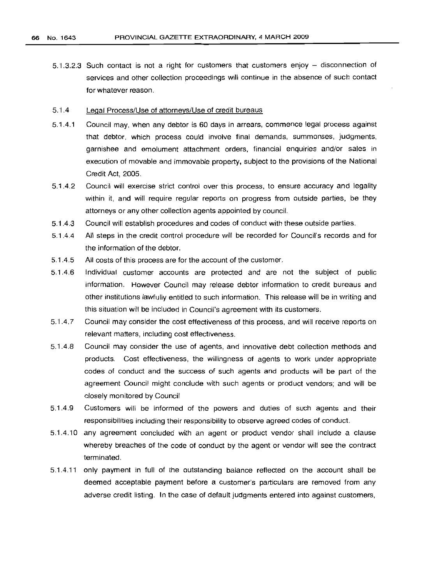5.1.3.2.3 Such contact is not a right for customers that customers enjoy - disconnection of services and other collection proceedings will continue in the absence of such contact for whatever reason.

#### 5.1.4 Legal Process/Use of attorneys/Use of credit bureaus

- 5.1.4.1 Council may, when any debtor is 60 days in arrears, commence legal process against that debtor, which process could involve final demands, summonses, judgments, garnishee and emolument attachment orders, financial enquiries and/or sales in execution of movable and immovable property, SUbject to the provisions of the National Credit Act, 2005.
- 5.1.4.2 Council will exercise strict control over this process, to ensure accuracy and legality within it, and will require regular reports on progress from outside parties, be they attorneys or any other collection agents appointed by council.
- 5.1.4.3 Council will establish procedures and codes of conduct with these outside parties.
- 5.1.4.4 All steps in the credit control procedure will be recorded for Council's records and for the information of the debtor.
- 5.1.4.5 All costs of this process are for the account of the customer.
- 5.1.4.6 Individual customer accounts are protected and are not the SUbject of public information. However Council may release debtor information to credit bureaus and other institutions lawfully entitled to such information. This release will be in writing and this situation will be included in Council's agreement with its customers.
- 5.1.4.7 Council may consider the cost effectiveness of this process, and will receive reports on relevant matters, including cost effectiveness.
- 5.1.4.8 Council may consider the use of agents, and innovative debt collection methods and products. Cost effectiveness, the willingness of agents to work under appropriate codes of conduct and the success of such agents and products will be part of the agreement Council might conclude with such agents or product vendors; and will be closely monitored by Council
- 5.1.4.9 Customers will be informed of the powers and duties of such agents and their responsibilities including their responsibility to observe agreed codes of conduct.
- 5.1.4.10 any agreement concluded with an agent or product vendor shall include a clause whereby breaches of the code of conduct by the agent or vendor will see the contract terminated.
- 5.1.4.11 only payment in full of the outstanding balance reflected on the account shall be deemed acceptable payment before a customer's particulars are removed from any adverse credit listing. In the case of default judgments entered into against customers,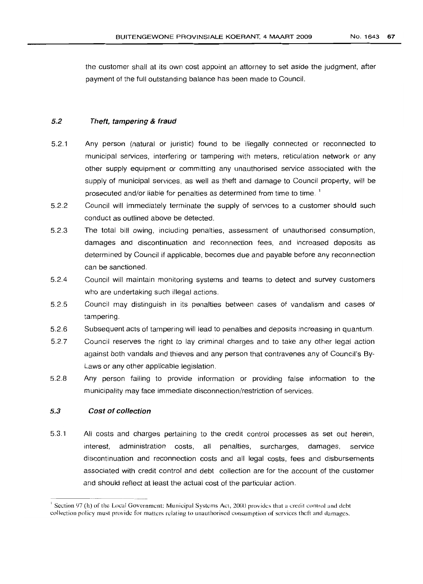the customer shall at its own cost appoint an attorney to set aside the judgment, after payment of the full outstanding balance has been made to Council.

#### 5.2 Theft, tampering & fraud

- 5.2.1 Any person (natural or juristic) found to be illegally connected or reconnected to municipal services, interfering or tampering with meters, reticulation network or any other supply equipment or committing any unauthorised service associated with the supply of municipal services, as well as theft and damage to Council property, will be prosecuted and/or liable for penalties as determined from time to time. <sup>1</sup>
- 5.2.2 Council will immediately terminate the supply of services to a customer should such conduct as outlined above be detected.
- 5.2.3 The total bill owing, including penalties, assessment of unauthorised consumption, damages and discontinuation and reconnection fees, and increased deposits as determined by Council if applicable, becomes due and payable before any reconnection can be sanctioned.
- 5.2.4 Council will maintain monitoring systems and teams to detect and survey customers who are undertaking such illegal actions.
- 5.2.5 Council may distinguish in its penalties between cases of vandalism and cases of tampering.
- 5.2.6 Subsequent acts of tampering will lead to penalties and deposits increasing in quantum.
- 5.2.7 Council reserves the right to lay criminal charges and to take any other legal action aqainst both vandals and thieves and any person that contravenes any of Council's By-Laws or any other applicable legislation.
- 5.2.8 Any person failing to provide information or providing false information to the municipality may face immediate disconnection/restriction of services.

#### 5.3 Cost of collection

5.3.1 All costs and charges pertaining to the credit control processes as set out herein, interest, administration costs, all penalties, surcharges, damages, service discontinuation and reconnection costs and all legal costs, fees and disbursements associated with credit control and debt collection are for the account of the customer and should reflect at least the actual cost of the particular action.

<sup>&</sup>lt;sup>1</sup> Section 97 (h) of the Local Government: Municipal Systems Act, 2000 provides that a credit control and debt collection policy must provide for matters relating to unauthorised consumption of services theft and damages.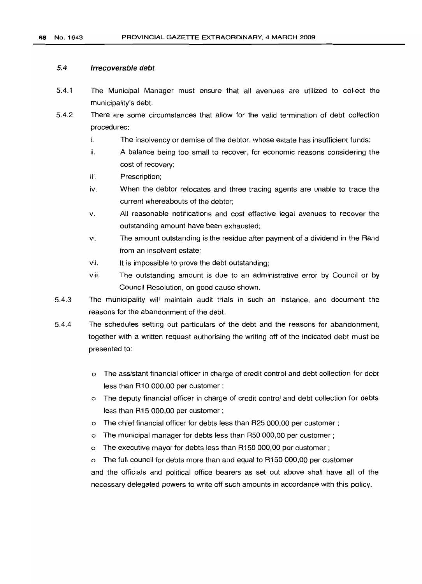#### 5.4 **Irrecoverable** debt

- 5.4.1 The Municipal Manager must ensure that all avenues are utilized to collect the municipality's debt.
- 5.4.2 There are some circumstances that allow for the valid termination of debt collection procedures:
	- i. The insolvency or demise of the debtor, whose estate has insufficient funds;
	- ii. A balance being too small to recover, for economic reasons considering the cost of recovery;
	- iii. Prescription;
	- iv. When the debtor relocates and three tracing agents are unable to trace the current whereabouts of the debtor;
	- v. All reasonable notifications and cost effective legal avenues to recover the outstanding amount have been exhausted;
	- vi. The amount outstanding is the residue after payment of a dividend in the Rand from an insolvent estate;
	- vii. It is impossible to prove the debt outstanding;
	- viii. The outstanding amount is due to an administrative error by Council or by Council Resolution, on good cause shown.
- 5.4.3 The municipality will maintain audit trials in such an instance, and document the reasons for the abandonment of the debt.
- 5.4.4 The schedules setting out particulars of the debt and the reasons for abandonment, together with a written request authorising the writing off of the indicated debt must be presented to:
	- o The assistant financial officer in charge of credit control and debt collection for debt less than R10 000,00 per customer;
	- o The deputy financial officer in charge of credit control and debt collection for debts less than R15 000,00 per customer;
	- o The chief financial officer for debts less than R25 000,00 per customer;
	- o The municipal manager for debts less than R50 000,00 per customer;
	- o The executive mayor for debts less than R150 000,00 per customer;
	- o The full council for debts more than and equal to R150 000,00 per customer

and the officials and political office bearers as set out above shall have all of the necessary delegated powers to write off such amounts in accordance with this policy.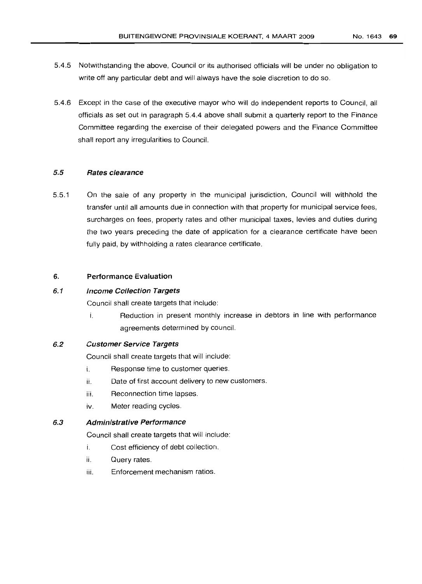- 5.4.5 Notwithstanding the above, Council or its authorised officials will be under no obligation to write off any particular debt and will always have the sole discretion to do so.
- 5.4.6 Except in the case of the executive mayor who will do independent reports to Council, all officials as set out in paragraph 5.4.4 above shall submit a quarterly report to the Finance Committee regarding the exercise of their delegated powers and the Finance Committee shall report any irregularities to Council.

## 5.5 Hates clearance

5.5.1 On the sale of any property in the municipal jurisdiction, Council will withhold the transfer until all amounts due in connection with that property for municipal service fees, surcharges on fees, property rates and other municipal taxes, levies and duties during the two years preceding the date of application for a clearance certificate have been fully paid, by withholding a rates clearance certificate.

## 6. Pertormance Evaluation

## 6.1 Income Collection Targets

Council shall create targets that include:

i. Reduction in present monthly increase in debtors in line with performance agreements determined by council.

## 6.2 Customer Service Targets

Council shall create targets that will include:

- i. Response time to customer queries.
- ii. Date of first account delivery to new customers.
- iii. Reconnection time lapses.
- iv. Meter reading cycles.

## 6.3 Administrative Performance

Council shall create targets that will include:

- i. Cost efficiency of debt collection.
- ii. Query rates.
- iii. Enforcement mechanism ratios.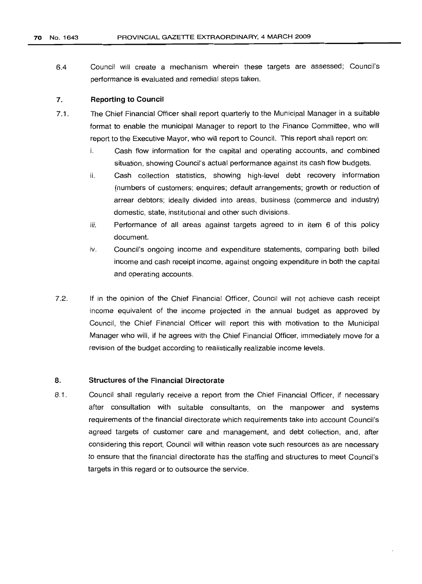6.4 Council will create a mechanism wherein these targets are assessed; Council's performance is evaluated and remedial steps taken.

### 7. Reporting to Council

- 7.1. The Chief Financial Officer shall report quarterly to the Municipal Manager in a suitable format to enable the municipal Manager to report to the Finance Committee, who will report to the Executive Mayor, who will report to Council. This report shall report on:
	- i. Cash flow information for the capital and operating accounts, and combined situation, showing Council's actual performance against its cash flow budgets.
	- ii. Cash collection statistics, showing high-level debt recovery information (numbers of customers; enquires; default arrangements; growth or reduction of arrear debtors; ideally divided into areas, business (commerce and industry) domestic, state, institutional and other such divisions.
	- iii. Performance of all areas against targets agreed to in item 6 of this policy document.
	- iv. Council's ongoing income and expenditure statements, comparing both billed income and cash receipt income, against ongoing expenditure in both the capital and operating accounts.
- 7.2. If in the opinion of the Chief Financial Officer, Council will not achieve cash receipt income equivalent of the income projected in the annual budget as approved by Council, the Chief Financial Officer will report this with motivation to the Municipal Manager who will, if he agrees with the Chief Financial Officer, immediately move for a revision of the budqet according to realistically realizable income levels.

## 8. Structures of the Financial Directorate

8.1. Council shall regularly receive a report from the Chief Financial Officer, if necessary after consultation with suitable consultants, on the manpower and systems requirements of the financial directorate which requirements take into account Council's agreed targets of customer care and management, and debt collection, and, after considering this report, Council will within reason vote such resources as are necessary to ensure that the financial directorate has the staffing and structures to meet Council's targets in this regard or to outsource the service.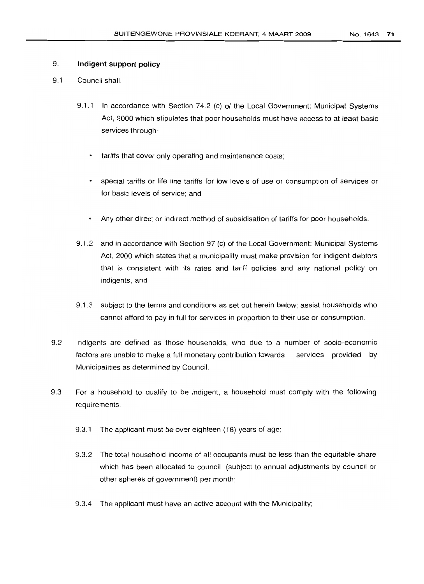## 9. **Indigent support policy**

- 9.1 Council shall,
	- 9.1.1 In accordance with Section 74.2 (c) of the Local Government: Municipal Systems Act, 2000 which stipulates that poor households must have access to at least basic services through
		- tariffs that cover only operating and maintenance costs;
		- special tariffs or life line tariffs for low levels of use or consumption of services or for basic levels of service; and
		- Any other direct or indirect method of subsidisation of tariffs for poor households.
	- 9.1.2 and in accordance with Section 97 (c) of the Local Government: Municipal Systems Act, 2000 which states that a municipality must make provision for indigent debtors that is consistent with its rates and tariff policies and any national policy on indigents, and
	- 9.1.3 subject to the terms and conditions as set out herein below; assist households who cannot afford to pay in full for services in proportion to their use or consumption.
- 9.2 Indigents are defined as those households, who due to a number of socio-economic factors are unable to make a full monetary contribution towards services provided by Municipalities as determined by Council.
- 9.3 For a household to qualify to be indigent, a household must comply with the following requirements:
	- 9.3.1 The applicant must be over eighteen (18) years of age;
	- 9.3.2 The total household income of all occupants must be less than the equitable share which has been allocated to council (subject to annual adjustments by council or other spheres of government) per month;
	- 9.3.4 The applicant must have an active account with the Municipality;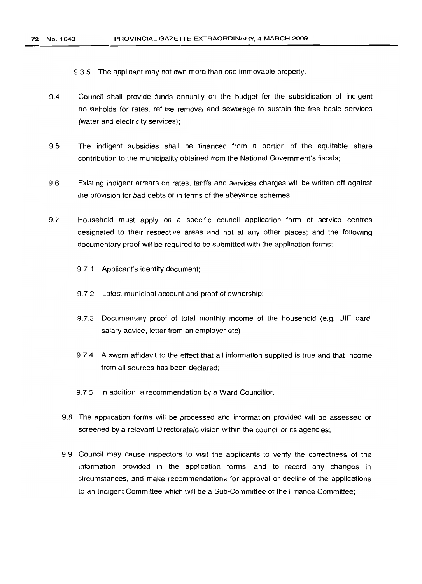9.3.5 The applicant may not own more than one immovable property.

- 9.4 Council shall provide funds annually on the budqet for the subsidisation of indigent households for rates, refuse removal and sewerage to sustain the free basic services (water and electricity services);
- 9.5 The indigent subsidies shall be financed from a portion of the equitable share contribution to the municipality obtained from the National Government's fiscals;
- 9.6 EXisting indigent arrears on rates, tariffs and services charges will be written off against the provision for bad debts or in terms of the abeyance schemes.
- 9.7 Household must apply on a specific council application form at service centres designated to their respective areas and not at any other places; and the following documentary proof will be required to be submitted with the application forms:
	- 9.7.1 Applicant's identity document;
	- 9.7.2 Latest municipal account and proof of ownership;
	- 9.7.3 Documentary proof of total monthly income of the household (e.g. UIF card, salary advice, letter from an employer etc)
	- 9.7.4 A sworn affidavit to the effect that all information supplied is true and that income from all sources has been declared;
	- 9.7.5 In addition, a recommendation by a Ward Councillor.
	- 9.8 The application forms will be processed and information provided will be assessed or screened by a relevant Directorate/division within the council or its agencies;
	- 9.9 Council may cause inspectors to visit the applicants to verify the correctness of the information provided in the application forms, and to record any changes in circumstances, and make recommendations for approval or decline of the applications to an Indigent Committee which will be a Sub-Committee of the Finance Committee;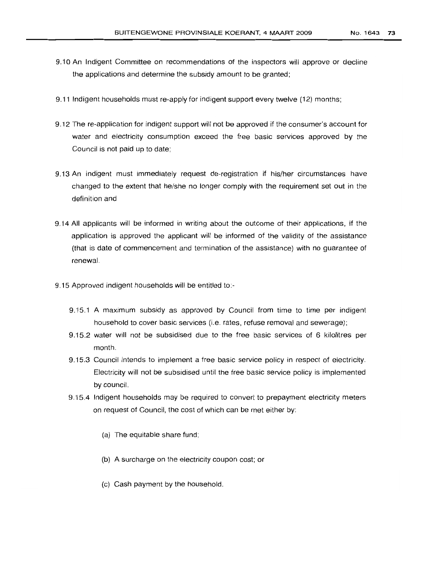- 9.10 An Indigent Committee on recommendations of the inspectors will approve or decline the applications and determine the subsidy amount to be granted;
- 9.11 Indigent households must re-apply for indigent support every twelve (12) months;
- 9.12 The re-application for indigent support will not be approved if the consumer's account for water and electricity consumption exceed the free basic services approved by the Council is not paid up to date;
- 9.13 An indigent must immediately request de-registration if his/her circumstances have changed to the extent that he/she no longer comply with the requirement set out in the definition and
- 9.14 All applicants will be informed in writing about the outcome of their applications, if the application is approved the applicant will be informed of the validity of the assistance (that is date of commencement and termination of the assistance) with no guarantee of renewal.
- 9.15 Approved indigent households will be entitled to:-
	- 9.15.1 A maximum subsidy as approved by Council from time to time per indigent household to cover basic services (i.e. rates, refuse removal and sewerage);
	- 9.15.2 water will not be subsidised due to the free basic services of 6 kilolitres per month.
	- 9.15.3 Council intends to implement a free basic service policy in respect of electricity. Electricity will not be subsidised until the free basic service policy is implemented by council.
	- 9.15.4 Indigent households may be required to convert to prepayment electricity meters on request of Council, the cost of which can be met either by:
		- (a) The equitable share fund;
		- (b) A surcharge on the electricity coupon cost; or
		- (c) Cash payment by the household.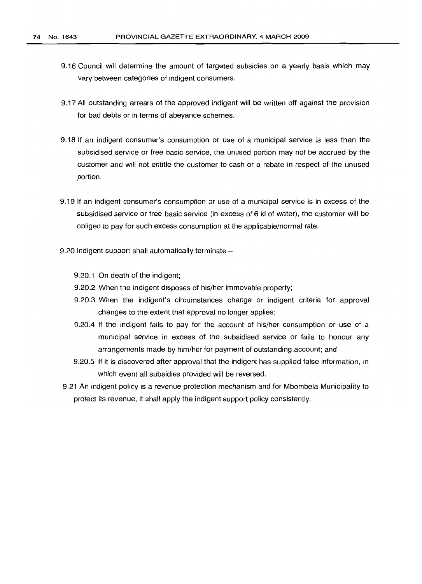- 9.16 Council will determine the amount of targeted subsidies on a yearly basis which may vary between categories of indigent consumers.
- 9.17 All outstanding arrears of the approved indigent will be written off against the provision for bad debts or in terms of abeyance schemes.
- 9.18 If an indigent consumer's consumption or use of a municipal service is less than the subsidised service or free basic service, the unused portion may not be accrued by the customer and will not entitle the customer to cash or a rebate in respect of the unused portion.
- 9.19 If an indigent consumer's consumption or use of a municipal service is in excess of the subsidised service or free basic service (in excess of 6 kl of water), the customer will be obliged to pay for such excess consumption at the applicable/normal rate.
- 9.20 Indigent support shall automatically terminate  $-$ 
	- 9.20.1 On death of the indigent;
	- 9.20.2 When the indigent disposes of his/her immovable property;
	- 9.20.3 When the indigent's circumstances change or indigent criteria for approval changes to the extent that approval no longer applies;
	- 9.20.4 If the indigent fails to pay for the account of his/her consumption or use of a municipal service in excess of the subsidised service or fails to honour any arrangements made by him/her for payment of outstanding account; and
	- 9.20.5 If it is discovered after approval that the indigent has supplied false information, in which event all subsidies provided will be reversed.
- 9.21 An indigent policy is a revenue protection mechanism and for Mbombela Municipality to protect its revenue, it shall apply the indigent support policy consistently.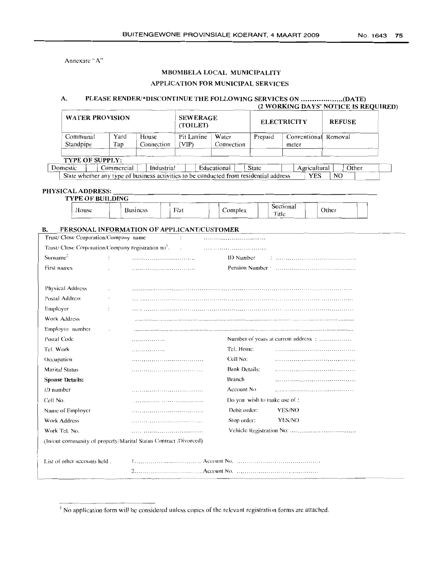Annexure "A"

# MBOM8ELA LOCAL MUNICIPALITY

# APPLICATION FOR MUNICIPAL SERVICES

#### PLEASE RENDER!\*DISCONTINUE THE FOLLOWING SERVICES ON (DATE) A.

#### (2 WORKING DAYS' NOTICE IS REQUIRED) **WATER PROVISION SEWERAGE ELECTRICITY** REFUSE (TOILET)  $Communal$ Yard House Pit Latrine Water Removal Prepaid ,Conventional <sup>I</sup> \_=\_t\_e\_r --+ I Standpipe Tap Connection  $(VIP)$ Connection

#### **TYPE OF SUPPLY:** Educational Domestic Commercial **State** Agricultural  $O$ ther State whether any type of business activities to be conducted from residential address **YES**  $\overline{NO}$

### PHYSICAL ADDRESS:

| <b>TYPE OF BUILDING</b> |  |                 |      |  |         |                    |       |  |
|-------------------------|--|-----------------|------|--|---------|--------------------|-------|--|
| House                   |  | <b>Business</b> | Flat |  | Complex | Sectional<br>Title | Other |  |

#### B. PERSONAL INFORMATION OF APPLICANT/CUSTOMER

| Trust/Close Corporation/Company name                             |                |         |                              |                                      |
|------------------------------------------------------------------|----------------|---------|------------------------------|--------------------------------------|
| Trust/ Close Corporation/Company registration no <sup>1</sup> .  |                | $\cdot$ |                              |                                      |
| Surname <sup>2</sup>                                             |                |         | ID Number                    |                                      |
| First names                                                      |                |         |                              |                                      |
|                                                                  |                |         |                              |                                      |
| <b>Physical Address</b>                                          |                |         |                              |                                      |
| Postal Address                                                   |                |         |                              |                                      |
| Employer                                                         |                |         |                              |                                      |
| Work Address                                                     |                |         |                              |                                      |
| Employee number                                                  |                |         |                              |                                      |
| Postal Code                                                      | . . <i>. .</i> |         |                              | Number of years at current address : |
| Tel. Work                                                        | .              |         | Tel. Home:                   |                                      |
| Occupation                                                       |                |         | Cell No:                     |                                      |
| <b>Marital Status</b>                                            |                |         | <b>Bank Details:</b>         |                                      |
| <b>Spouse Details:</b>                                           |                |         | Branch                       |                                      |
| ID number                                                        |                |         | Account No.                  |                                      |
| Cell No.                                                         |                |         | Do you wish to make use of : |                                      |
| Name of Employer                                                 |                |         | Debit order:                 | YES/NO                               |
| Work Address                                                     |                |         | Stop order:                  | YES/NO                               |
| Work Tel. No.                                                    |                |         |                              |                                      |
| (In/out community of property/Marital Status Contract /Divorced) |                |         |                              |                                      |
|                                                                  |                |         |                              |                                      |
| List of other accounts held.                                     |                |         |                              |                                      |
|                                                                  |                |         |                              |                                      |
|                                                                  |                |         |                              |                                      |

<sup>&</sup>lt;sup>1</sup> No application form will be considered unless copies of the relevant registration forms are attached.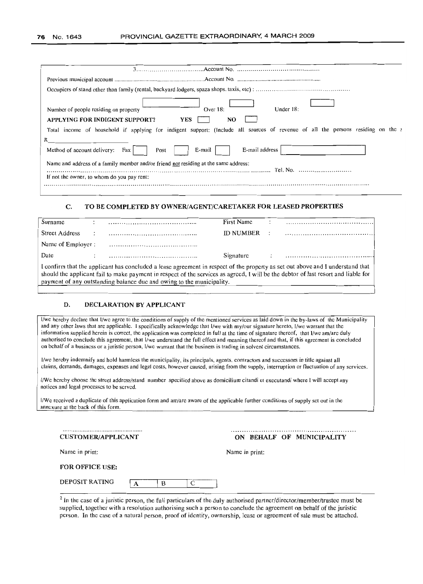| Under $18$ :<br>Over $18$ :<br>Number of people residing on property                                                             |
|----------------------------------------------------------------------------------------------------------------------------------|
| APPLYING FOR INDIGENT SUPPORT?<br>YES<br>NO                                                                                      |
| Total income of household if applying for indigent support: (Include all sources of revenue of all the persons residing on the a |
| R<br>E-mail address<br>E-mail<br>Method of account delivery:<br>Post<br>Fax I                                                    |
| Name and address of a family member and/or friend not residing at the same address:<br>Tel. No.                                  |
| If not the owner, to whom do you pay rent:                                                                                       |
|                                                                                                                                  |

### C. TO BE COMPLETED BY OWNER/AGENT/CARETAKER FOR LEASED PROPERTIES

| Surname               |                                                                                                                                                                                                                                                                                                                                                                     |  | First Name       |  |  |
|-----------------------|---------------------------------------------------------------------------------------------------------------------------------------------------------------------------------------------------------------------------------------------------------------------------------------------------------------------------------------------------------------------|--|------------------|--|--|
| <b>Street Address</b> |                                                                                                                                                                                                                                                                                                                                                                     |  | <b>ID NUMBER</b> |  |  |
|                       |                                                                                                                                                                                                                                                                                                                                                                     |  |                  |  |  |
| Date                  |                                                                                                                                                                                                                                                                                                                                                                     |  | Signature        |  |  |
|                       | Name of Employer :<br>I confirm that the applicant has concluded a lease agreement in respect of the property as set out above and I understand that<br>should the applicant fail to make payment in respect of the services as agreed, I will be the debtor of last resort and liable for<br>payment of any outstanding balance due and owing to the municipality. |  |                  |  |  |
|                       |                                                                                                                                                                                                                                                                                                                                                                     |  |                  |  |  |

#### D. DECLARATION BY APPLICANT

I/we hereby declare that I/we agree to the conditions of supply of the mentioned services as laid down in the by-laws of the Municipality and any other laws that arc applicable. Ispecifically acknowledge that l/we with my/our signature hereto, I/we warrant that the information supplied herein is correct, the application was completed in full at the time of signature thereof, that I/we am/are duly authorised to conclude this agreement, that l/we understand the ful! effect and meaning thereof and that, if this agreement is concluded on behalf of a business or a juristic person, IIwe warrant that the business is trading in solvent circumstances.

I/we hereby indemnify and hold harmless the municipality, its principals, agents. contractors and successors in title against all claims, demands, damages, expenses and legal costs, however caused, arising from the supply, interruption or fluctuation of any services.

I/We hereby choose the street address/stand number specified above as domicilium citandi et exccutandi where [ will accept any notices and legal processes to be served.

l/We received a duplicate of this application form and am/arc aware of the applicable further conditions of supply SCI out in the annexure at the hack of this form.

| <b>CUSTOMER/APPLICANT</b> |  |
|---------------------------|--|

ON BEHALF OF MUNICIPALITY

Name in print:

#### FOR OFFICE USE:

| DEPOSIT RATING |  |  |
|----------------|--|--|
|                |  |  |

<sup>2</sup> In the case of a juristic person, the full particulars of the duly authorised partner/director/member/trustee must be supplied, together with a resolution authorising such a person to conclude the agreement on behalf of the juristic person. In the case of a natural person, proof of identity, ownership, lease or agreement of sale must be attached.

Name in print: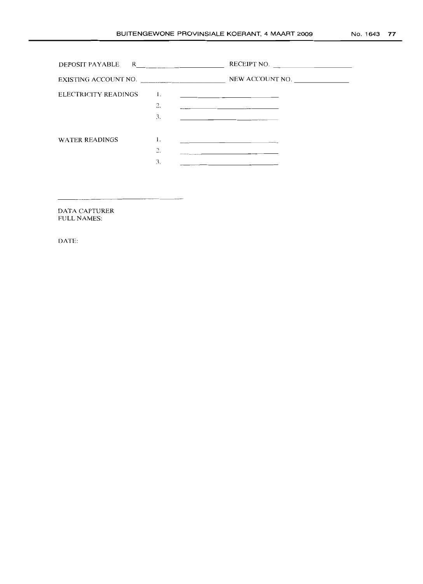|                       |                                     | RECEIPT NO.                                                                                                                                                                                                                                                                                    |
|-----------------------|-------------------------------------|------------------------------------------------------------------------------------------------------------------------------------------------------------------------------------------------------------------------------------------------------------------------------------------------|
| EXISTING ACCOUNT NO.  |                                     | NEW ACCOUNT NO.                                                                                                                                                                                                                                                                                |
| ELECTRICITY READINGS  | $\mathbf{I}$ .<br>2.<br>3.          | <u> 1989 - John Harry Harry Harry Harry Harry Harry Harry Harry Harry Harry Harry Harry Harry Harry Harry Harry H</u><br><u> 1980 - Andrea Andrea Andrea Andrea Andrea Andrea Andrea Andrea Andrea Andrea Andrea Andrea Andrea Andrea Andr</u><br>the company of the company of the company of |
| <b>WATER READINGS</b> | 1.<br>$\mathcal{L}$<br>$\sim$<br>3. | the control of the control of the control of the control of the control of<br>the contract of the contract of the contract of the contract of the contract of<br>the contract of the contract of the contract of the                                                                           |
|                       |                                     |                                                                                                                                                                                                                                                                                                |

DATA CAPTURER FULL NAMES:

DATE: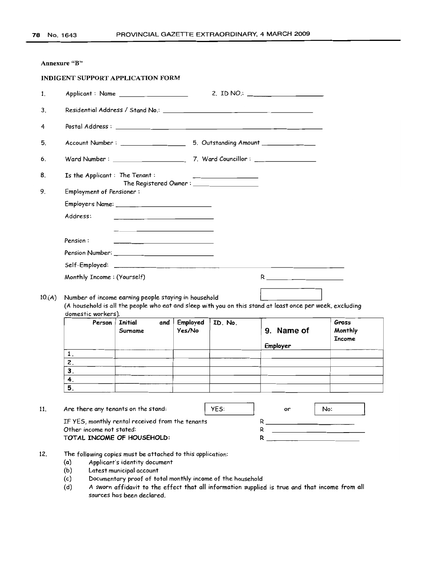|        | Annexure "B"                    |                                                                                                                                                                                                                                      |                    |         |                                                                                                           |                            |
|--------|---------------------------------|--------------------------------------------------------------------------------------------------------------------------------------------------------------------------------------------------------------------------------------|--------------------|---------|-----------------------------------------------------------------------------------------------------------|----------------------------|
|        |                                 | <b>INDIGENT SUPPORT APPLICATION FORM</b>                                                                                                                                                                                             |                    |         |                                                                                                           |                            |
| 1.     |                                 |                                                                                                                                                                                                                                      |                    |         | 2. ID NO.: $\frac{1}{2}$                                                                                  |                            |
| 3.     |                                 |                                                                                                                                                                                                                                      |                    |         |                                                                                                           |                            |
| 4      |                                 |                                                                                                                                                                                                                                      |                    |         |                                                                                                           |                            |
| 5.     |                                 |                                                                                                                                                                                                                                      |                    |         |                                                                                                           |                            |
| 6.     |                                 |                                                                                                                                                                                                                                      |                    |         |                                                                                                           |                            |
| 8.     | Is the Applicant: The Tenant:   |                                                                                                                                                                                                                                      |                    |         |                                                                                                           |                            |
| 9.     | <b>Employment of Pensioner:</b> |                                                                                                                                                                                                                                      |                    |         |                                                                                                           |                            |
|        |                                 |                                                                                                                                                                                                                                      |                    |         |                                                                                                           |                            |
|        | Address:                        | <u> 1980 - Jan Stein Stein Stein Stein Stein Stein Stein Stein Stein Stein Stein Stein Stein Stein Stein Stein Stein Stein Stein Stein Stein Stein Stein Stein Stein Stein Stein Stein Stein Stein Stein Stein Stein Stein Stein</u> |                    |         |                                                                                                           |                            |
|        |                                 | the control of the control of the control of the control of the control of the control of                                                                                                                                            |                    |         |                                                                                                           |                            |
|        | Pension:                        |                                                                                                                                                                                                                                      |                    |         |                                                                                                           |                            |
|        |                                 |                                                                                                                                                                                                                                      |                    |         |                                                                                                           |                            |
|        |                                 |                                                                                                                                                                                                                                      |                    |         |                                                                                                           |                            |
|        | Monthly Income: (Yourself)      |                                                                                                                                                                                                                                      |                    |         |                                                                                                           |                            |
|        |                                 |                                                                                                                                                                                                                                      |                    |         |                                                                                                           |                            |
| 10.(A) |                                 | Number of income earning people staying in household                                                                                                                                                                                 |                    |         | (A household is all the people who eat and sleep with you on this stand at least once per week, excluding |                            |
|        | domestic workers).              |                                                                                                                                                                                                                                      |                    |         |                                                                                                           |                            |
|        | Person                          | Initial<br>and  <br>Surname                                                                                                                                                                                                          | Employed<br>Yes/No | ID. No. | 9. Name of                                                                                                | Gross<br>Monthly<br>Income |
|        |                                 |                                                                                                                                                                                                                                      |                    |         | Employer                                                                                                  |                            |
|        | 1.<br>2.                        |                                                                                                                                                                                                                                      |                    |         |                                                                                                           |                            |
|        | 3.                              |                                                                                                                                                                                                                                      |                    |         |                                                                                                           |                            |
|        | 4.                              |                                                                                                                                                                                                                                      |                    |         |                                                                                                           |                            |
|        | 5.                              |                                                                                                                                                                                                                                      |                    |         |                                                                                                           |                            |
| 11.    |                                 | Are there any tenants on the stand:                                                                                                                                                                                                  |                    | YES:    | or                                                                                                        | No:                        |
|        |                                 | IF YES, monthly rental received from the tenants                                                                                                                                                                                     |                    |         |                                                                                                           |                            |
|        | Other income not stated:        | TOTAL INCOME OF HOUSEHOLD:                                                                                                                                                                                                           |                    |         | R _____________________<br>$R \sim 1$                                                                     |                            |
|        |                                 |                                                                                                                                                                                                                                      |                    |         |                                                                                                           |                            |
| 12.    |                                 | The following copies must be attached to this application:                                                                                                                                                                           |                    |         |                                                                                                           |                            |
|        | (a)<br>(b)                      | Applicant's identity document<br>Latest municipal account                                                                                                                                                                            |                    |         |                                                                                                           |                            |
|        | (c)                             | Documentary proof of total monthly income of the household                                                                                                                                                                           |                    |         |                                                                                                           |                            |

(d) A sworn affidavit to the effect that all information supplied is true and that income from all sources has been declared.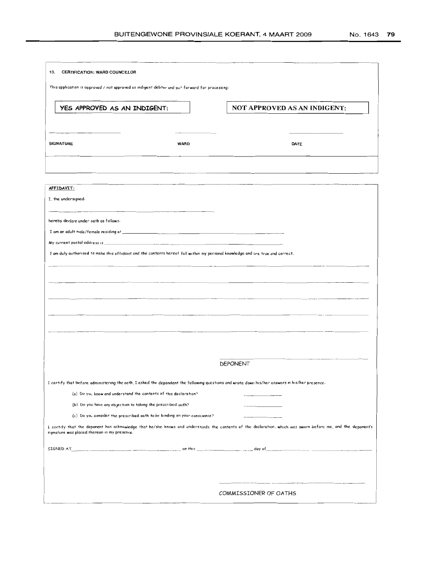| 10.<br>CERTIFICATION: WARD COUNCILLOR                                                                                                           |             |                                                                                                                                                                                                                                     |
|-------------------------------------------------------------------------------------------------------------------------------------------------|-------------|-------------------------------------------------------------------------------------------------------------------------------------------------------------------------------------------------------------------------------------|
| This application is approved / not approved as indigent debtor and pu* forward for processing:                                                  |             |                                                                                                                                                                                                                                     |
| YES APPROVED AS AN INDIGENT:                                                                                                                    |             | NOT APPROVED AS AN INDIGENT:                                                                                                                                                                                                        |
| <b>SIGNATURE</b>                                                                                                                                | <b>WARD</b> | DATE                                                                                                                                                                                                                                |
| AFFIDAVIT:                                                                                                                                      |             |                                                                                                                                                                                                                                     |
| I, the undersigned.                                                                                                                             |             |                                                                                                                                                                                                                                     |
| hereby declare under oath as follows:                                                                                                           |             |                                                                                                                                                                                                                                     |
| My current postal oddress is _                                                                                                                  |             |                                                                                                                                                                                                                                     |
| I am duly authorised to make this affidavit and the contents hereof fall within my personal knowledge and are true and correct.                 |             |                                                                                                                                                                                                                                     |
|                                                                                                                                                 |             |                                                                                                                                                                                                                                     |
|                                                                                                                                                 |             |                                                                                                                                                                                                                                     |
|                                                                                                                                                 |             |                                                                                                                                                                                                                                     |
|                                                                                                                                                 |             |                                                                                                                                                                                                                                     |
|                                                                                                                                                 |             |                                                                                                                                                                                                                                     |
|                                                                                                                                                 |             |                                                                                                                                                                                                                                     |
|                                                                                                                                                 |             |                                                                                                                                                                                                                                     |
|                                                                                                                                                 |             | DEPONENT                                                                                                                                                                                                                            |
|                                                                                                                                                 |             |                                                                                                                                                                                                                                     |
| I certify that before administering the oath, I asked the depondent the following questions and wrote down his/her answers in his/her presence. |             |                                                                                                                                                                                                                                     |
| (a) Do you know and understand the contents of this declaration?                                                                                |             |                                                                                                                                                                                                                                     |
| (b) Do you have any objection to taking the prescribed oath?                                                                                    |             |                                                                                                                                                                                                                                     |
| (c) Do you consider the prescribed oath to be binding on your conscience?<br>signature was placed thereon in my presence.                       |             | I certify that the deponent has acknowledge that he/she knows and understands the contents of the declaration, which was sworn before me, and the deponent's                                                                        |
|                                                                                                                                                 |             | STGNED AT <b>A 2008</b> The contract of the contract of the contract of the contract of the contract of the contract of the contract of the contract of the contract of the contract of the contract of the contract of the contrac |
|                                                                                                                                                 |             |                                                                                                                                                                                                                                     |
|                                                                                                                                                 |             |                                                                                                                                                                                                                                     |
|                                                                                                                                                 |             | COMMISSIONER OF OATHS                                                                                                                                                                                                               |